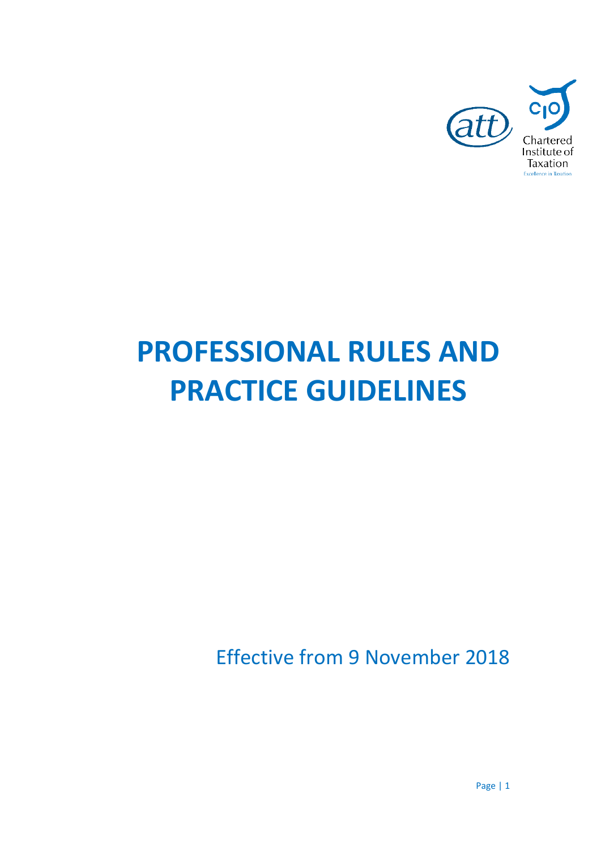

# **PROFESSIONAL RULES AND PRACTICE GUIDELINES**

Effective from 9 November 2018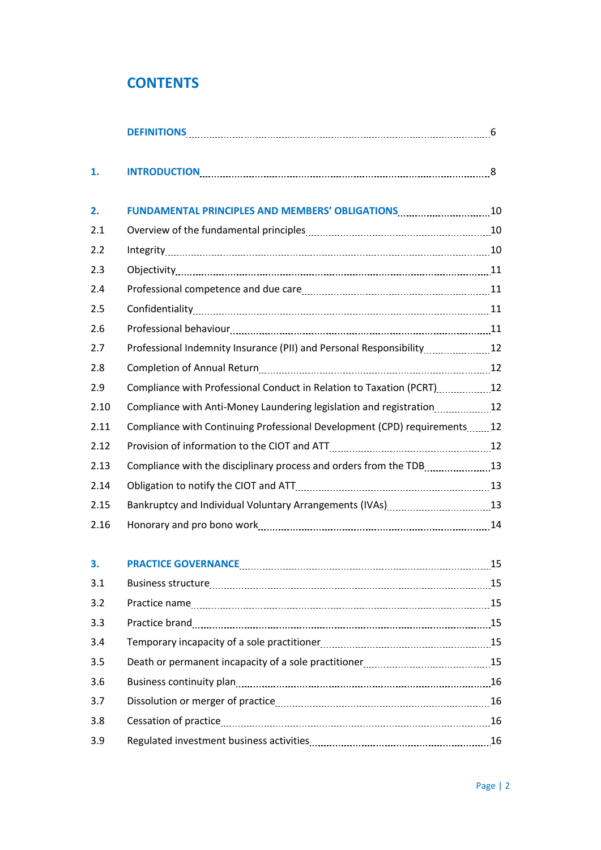# **CONTENTS**

| 1.   |                                                                                                                                              |  |
|------|----------------------------------------------------------------------------------------------------------------------------------------------|--|
| 2.   |                                                                                                                                              |  |
| 2.1  |                                                                                                                                              |  |
| 2.2  |                                                                                                                                              |  |
| 2.3  |                                                                                                                                              |  |
| 2.4  |                                                                                                                                              |  |
| 2.5  |                                                                                                                                              |  |
| 2.6  |                                                                                                                                              |  |
| 2.7  | Professional Indemnity Insurance (PII) and Personal Responsibility12                                                                         |  |
| 2.8  |                                                                                                                                              |  |
| 2.9  | Compliance with Professional Conduct in Relation to Taxation (PCRT) [12] Compliance with Professional Conduct in Relation to Taxation (PCRT) |  |
| 2.10 | Compliance with Anti-Money Laundering legislation and registration12                                                                         |  |
| 2.11 | Compliance with Continuing Professional Development (CPD) requirements12                                                                     |  |
| 2.12 |                                                                                                                                              |  |
| 2.13 | Compliance with the disciplinary process and orders from the TDB13                                                                           |  |
| 2.14 |                                                                                                                                              |  |
| 2.15 | Bankruptcy and Individual Voluntary Arrangements (IVAs)13                                                                                    |  |
| 2.16 |                                                                                                                                              |  |
| 3.   | <b>PRACTICE GOVERNANCE</b> 15                                                                                                                |  |
| 3.1  |                                                                                                                                              |  |
| 3.2  |                                                                                                                                              |  |
| 3.3  |                                                                                                                                              |  |
| 3.4  |                                                                                                                                              |  |
| 3.5  |                                                                                                                                              |  |
| 3.6  |                                                                                                                                              |  |
| 3.7  |                                                                                                                                              |  |
| 3.8  |                                                                                                                                              |  |
| 3.9  |                                                                                                                                              |  |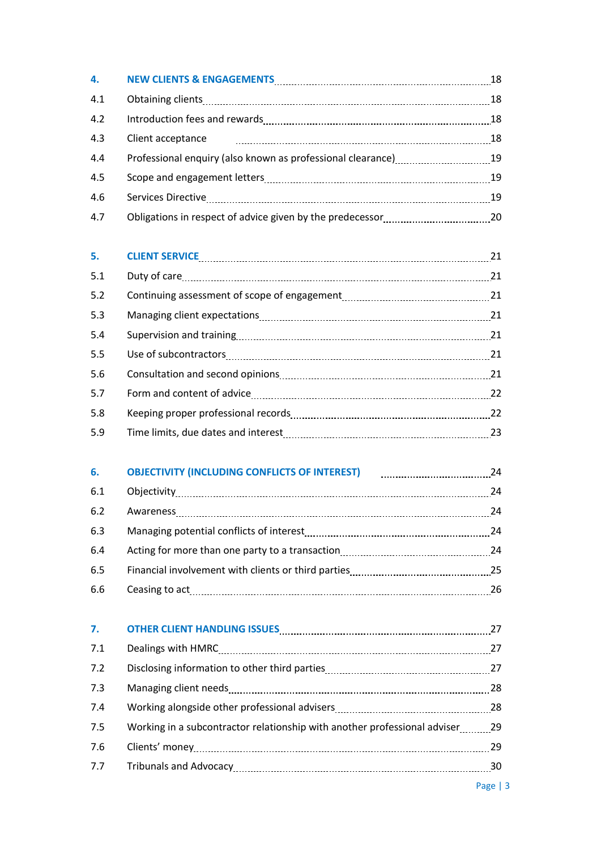| 4.  | NEW CLIENTS & ENGAGEMENTS MARKET AND THE RESERVE TO A 18                    |    |
|-----|-----------------------------------------------------------------------------|----|
| 4.1 |                                                                             |    |
| 4.2 |                                                                             |    |
| 4.3 | Client acceptance                                                           |    |
| 4.4 | Professional enquiry (also known as professional clearance) [11, 2010] [19] |    |
| 4.5 |                                                                             |    |
| 4.6 |                                                                             |    |
| 4.7 |                                                                             |    |
| 5.  | CLIENT SERVICE 21                                                           |    |
| 5.1 |                                                                             |    |
| 5.2 |                                                                             |    |
| 5.3 |                                                                             |    |
| 5.4 |                                                                             |    |
| 5.5 |                                                                             |    |
| 5.6 |                                                                             |    |
| 5.7 |                                                                             |    |
| 5.8 |                                                                             |    |
| 5.9 |                                                                             |    |
| 6.  | <b>OBJECTIVITY (INCLUDING CONFLICTS OF INTEREST)</b>                        |    |
| 6.1 |                                                                             | 24 |
| 6.2 | Awareness                                                                   | 24 |
| 6.3 |                                                                             |    |
| 6.4 |                                                                             |    |
| 6.5 |                                                                             |    |
| 6.6 |                                                                             |    |
| 7.  | OTHER CLIENT HANDLING ISSUES MARKET AND THE RESIDENCE OF A 27               |    |
| 7.1 |                                                                             |    |
| 7.2 |                                                                             |    |
| 7.3 |                                                                             |    |
| 7.4 |                                                                             |    |
| 7.5 | Working in a subcontractor relationship with another professional adviser29 |    |
| 7.6 |                                                                             |    |
| 7.7 |                                                                             |    |
|     |                                                                             |    |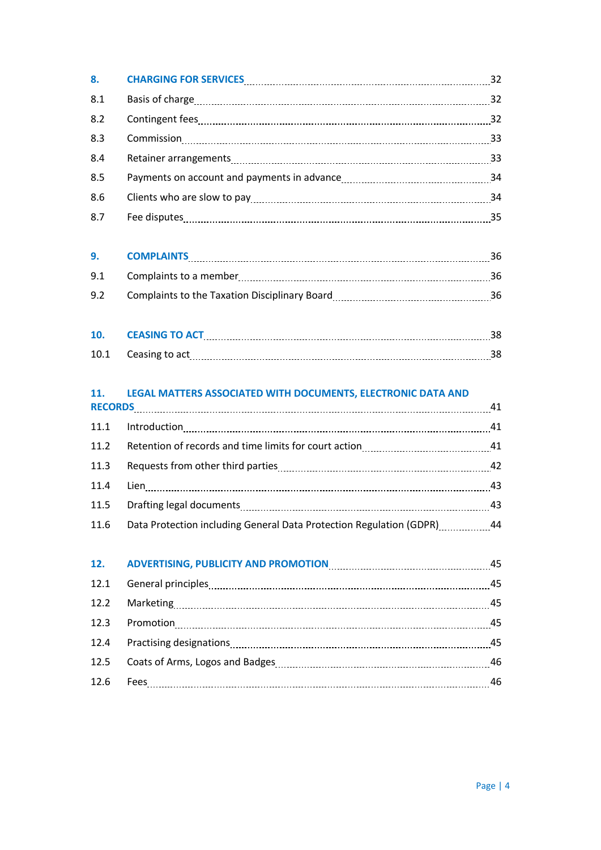| 8.  | CHARGING FOR SERVICES MARKET AND THE RESIDENCE OF A SERVICES MARKET AND THE RESIDENCE OF A SERVICE S                                                                                                                                                                                                                                                                                                                                                                                                                                           | 32 |
|-----|------------------------------------------------------------------------------------------------------------------------------------------------------------------------------------------------------------------------------------------------------------------------------------------------------------------------------------------------------------------------------------------------------------------------------------------------------------------------------------------------------------------------------------------------|----|
| 8.1 |                                                                                                                                                                                                                                                                                                                                                                                                                                                                                                                                                | 32 |
| 8.2 | Contingent fees <b>continues</b> and the continues of the continues and the continues of the continues of the continues of the continues of the continues of the continues of the continues of the continues of the continues of th                                                                                                                                                                                                                                                                                                            | 32 |
| 8.3 | $\begin{minipage}{0.5\textwidth} \centering \begin{tabular}{ l l l } \hline \textbf{Commission} & \textbf{maximum} & \textbf{maximum} & \textbf{maximum} & \textbf{maximum} \\ \hline \textbf{Mean} & \textbf{Mean} & \textbf{Mean} & \textbf{Mean} \\ \hline \textbf{Mean} & \textbf{Mean} & \textbf{Mean} & \textbf{Mean} \\ \hline \textbf{Mean} & \textbf{Mean} & \textbf{Mean} & \textbf{Mean} \\ \hline \textbf{Mean} & \textbf{Mean} & \textbf{Mean} & \textbf{Mean} \\ \hline \textbf{Mean} & \textbf{Mean} & \textbf{Mean} & \textbf$ | 33 |
| 8.4 |                                                                                                                                                                                                                                                                                                                                                                                                                                                                                                                                                | 33 |
| 8.5 |                                                                                                                                                                                                                                                                                                                                                                                                                                                                                                                                                | 34 |
| 8.6 |                                                                                                                                                                                                                                                                                                                                                                                                                                                                                                                                                | 34 |
| 8.7 |                                                                                                                                                                                                                                                                                                                                                                                                                                                                                                                                                | 35 |
|     |                                                                                                                                                                                                                                                                                                                                                                                                                                                                                                                                                |    |

| $\mathbf{q}_{\perp}$ | <b>COMPLAINTS</b>                             |  |
|----------------------|-----------------------------------------------|--|
| 9.1                  | Complaints to a member                        |  |
| 9.2                  | Complaints to the Taxation Disciplinary Board |  |

| 10 | <b>CEASING TO ACT</b> |  |
|----|-----------------------|--|
|    | 10.1 Ceasing to act   |  |

# **11. LEGAL MATTERS ASSOCIATED WITH DOCUMENTS, ELECTRONIC DATA AND**

|      |                                                                     | 41 |
|------|---------------------------------------------------------------------|----|
| 11.1 |                                                                     | 41 |
| 11.2 |                                                                     |    |
| 11.3 |                                                                     | 42 |
| 11.4 |                                                                     | 43 |
| 11.5 |                                                                     | 43 |
| 11.6 | Data Protection including General Data Protection Regulation (GDPR) | 44 |

|      | 12. ADVERTISING, PUBLICITY AND PROMOTION <b>CONSUMING ADVERTISING</b> , PUBLICITY AND PROMOTION | 45 |
|------|-------------------------------------------------------------------------------------------------|----|
| 12.1 |                                                                                                 | 45 |
| 12.2 |                                                                                                 | 45 |
| 12.3 |                                                                                                 | 45 |
|      |                                                                                                 | 45 |
| 12.5 |                                                                                                 | 46 |
| 12.6 |                                                                                                 | 46 |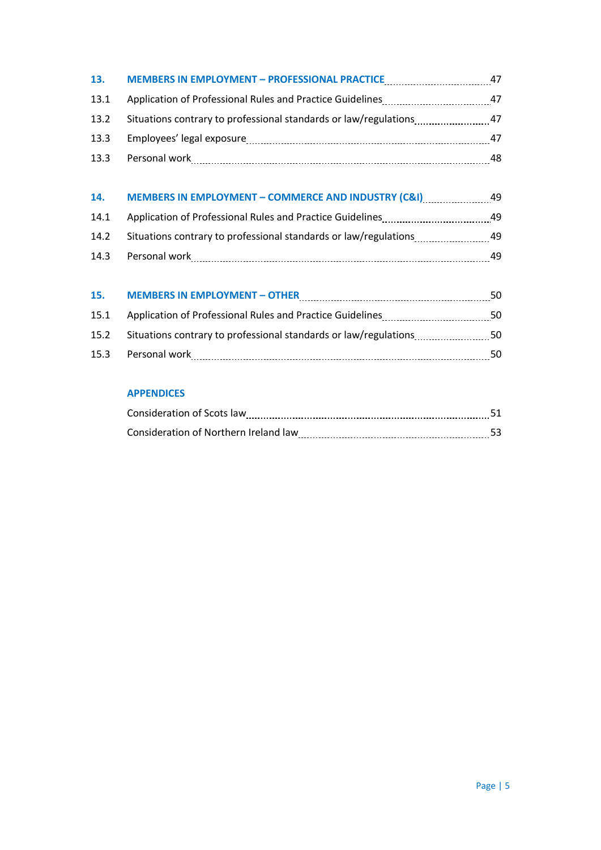| 13.  | <b>MEMBERS IN EMPLOYMENT - PROFESSIONAL PRACTICE</b>      | 47 |
|------|-----------------------------------------------------------|----|
| 13.1 | Application of Professional Rules and Practice Guidelines | 47 |
| 13.2 |                                                           | 47 |
| 13.3 |                                                           | 47 |
| 13.3 | Personal work                                             | 48 |

| 14.  | <b>MEMBERS IN EMPLOYMENT - COMMERCE AND INDUSTRY (C&amp;I)</b>   | 49 |
|------|------------------------------------------------------------------|----|
| 14.1 | Application of Professional Rules and Practice Guidelines        | 49 |
| 14.2 | Situations contrary to professional standards or law/regulations | 49 |
| 14.3 | Personal work                                                    | 49 |

| 15.  | <b>MEMBERS IN EMPLOYMENT - OTHER</b>                                  | 50. |
|------|-----------------------------------------------------------------------|-----|
| 15.1 | Application of Professional Rules and Practice Guidelines             | 50. |
|      | 15.2 Situations contrary to professional standards or law/regulations | 50. |
| 15.3 | Personal work                                                         | 50. |

# **APPENDICES**

| Consideration of Scots law            |  |
|---------------------------------------|--|
| Consideration of Northern Ireland law |  |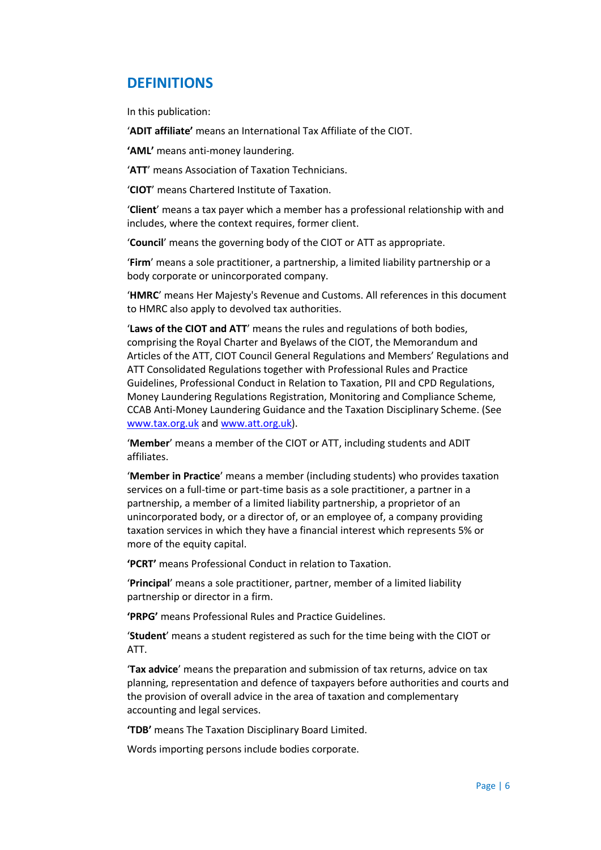# **DEFINITIONS**

In this publication:

'**ADIT affiliate'** means an International Tax Affiliate of the CIOT.

**'AML'** means anti-money laundering.

'**ATT**' means Association of Taxation Technicians.

'**CIOT**' means Chartered Institute of Taxation.

'**Client**' means a tax payer which a member has a professional relationship with and includes, where the context requires, former client.

'**Council**' means the governing body of the CIOT or ATT as appropriate.

'**Firm**' means a sole practitioner, a partnership, a limited liability partnership or a body corporate or unincorporated company.

'**HMRC**' means Her Majesty's Revenue and Customs. All references in this document to HMRC also apply to devolved tax authorities.

'**Laws of the CIOT and ATT**' means the rules and regulations of both bodies, comprising the Royal Charter and Byelaws of the CIOT, the Memorandum and Articles of the ATT, CIOT Council General Regulations and Members' Regulations and ATT Consolidated Regulations together with Professional Rules and Practice Guidelines, Professional Conduct in Relation to Taxation, PII and CPD Regulations, Money Laundering Regulations Registration, Monitoring and Compliance Scheme, CCAB Anti-Money Laundering Guidance and the Taxation Disciplinary Scheme. (See [www.tax.org.uk](http://www.tax.org.uk/) and [www.att.org.uk\)](http://www.att.org.uk/).

'**Member**' means a member of the CIOT or ATT, including students and ADIT affiliates.

'**Member in Practice**' means a member (including students) who provides taxation services on a full-time or part-time basis as a sole practitioner, a partner in a partnership, a member of a limited liability partnership, a proprietor of an unincorporated body, or a director of, or an employee of, a company providing taxation services in which they have a financial interest which represents 5% or more of the equity capital.

**'PCRT'** means Professional Conduct in relation to Taxation.

'**Principal**' means a sole practitioner, partner, member of a limited liability partnership or director in a firm.

**'PRPG'** means Professional Rules and Practice Guidelines.

'**Student**' means a student registered as such for the time being with the CIOT or ATT.

'**Tax advice**' means the preparation and submission of tax returns, advice on tax planning, representation and defence of taxpayers before authorities and courts and the provision of overall advice in the area of taxation and complementary accounting and legal services.

**'TDB'** means The Taxation Disciplinary Board Limited.

Words importing persons include bodies corporate.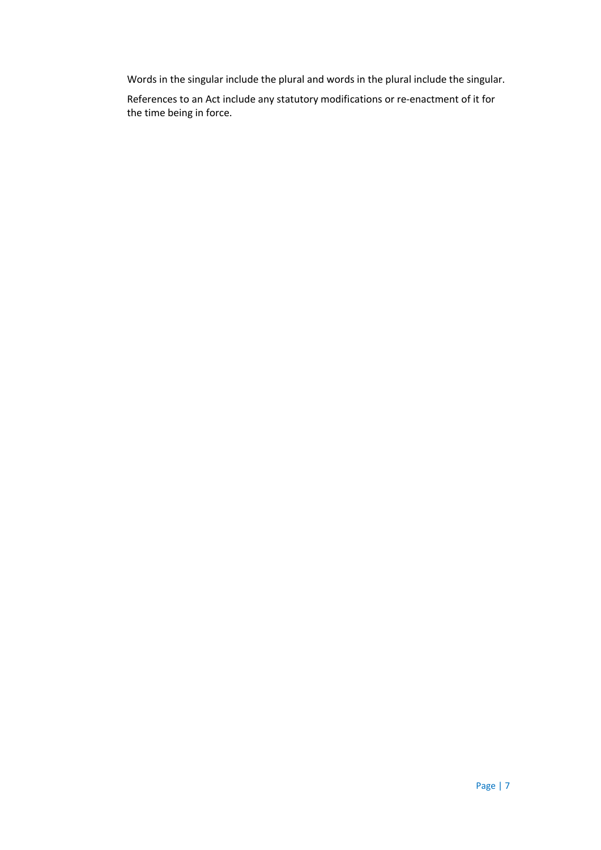Words in the singular include the plural and words in the plural include the singular.

References to an Act include any statutory modifications or re-enactment of it for the time being in force.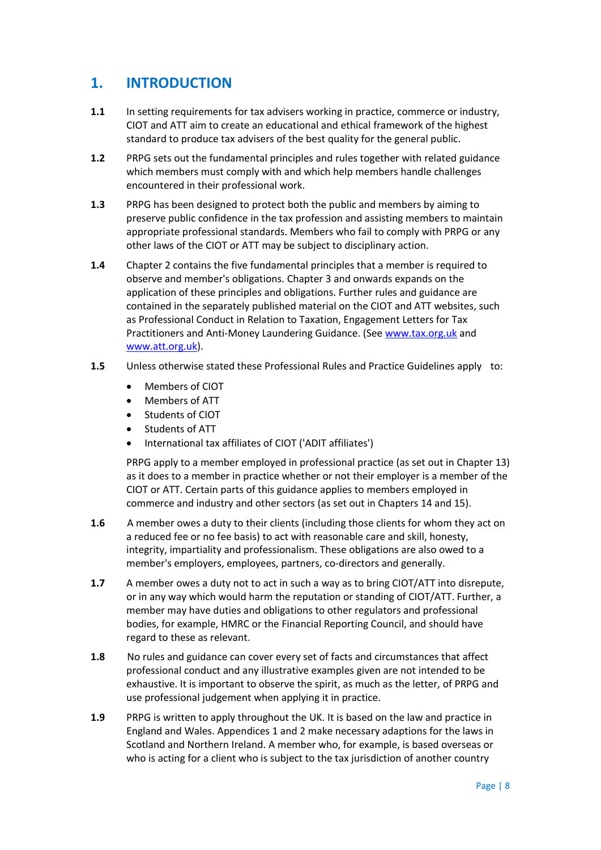# **1. INTRODUCTION**

- **1.1** In setting requirements for tax advisers working in practice, commerce or industry, CIOT and ATT aim to create an educational and ethical framework of the highest standard to produce tax advisers of the best quality for the general public.
- **1.2** PRPG sets out the fundamental principles and rules together with related guidance which members must comply with and which help members handle challenges encountered in their professional work.
- **1.3** PRPG has been designed to protect both the public and members by aiming to preserve public confidence in the tax profession and assisting members to maintain appropriate professional standards. Members who fail to comply with PRPG or any other laws of the CIOT or ATT may be subject to disciplinary action.
- **1.4** Chapter 2 contains the five fundamental principles that a member is required to observe and member's obligations. Chapter 3 and onwards expands on the application of these principles and obligations. Further rules and guidance are contained in the separately published material on the CIOT and ATT websites, such as Professional Conduct in Relation to Taxation, Engagement Letters for Tax Practitioners and Anti-Money Laundering Guidance. (Se[e www.tax.org.uk](http://www.tax.org.uk/) and [www.att.org.uk\)](http://www.att.org.uk/).
- **1.5** Unless otherwise stated these Professional Rules and Practice Guidelines apply to:
	- Members of CIOT
	- Members of ATT
	- **•** Students of CIOT
	- Students of ATT
	- International tax affiliates of CIOT ('ADIT affiliates')

PRPG apply to a member employed in professional practice (as set out in Chapter 13) as it does to a member in practice whether or not their employer is a member of the CIOT or ATT. Certain parts of this guidance applies to members employed in commerce and industry and other sectors (as set out in Chapters 14 and 15).

- **1.6** A member owes a duty to their clients (including those clients for whom they act on a reduced fee or no fee basis) to act with reasonable care and skill, honesty, integrity, impartiality and professionalism. These obligations are also owed to a member's employers, employees, partners, co-directors and generally.
- **1.7** A member owes a duty not to act in such a way as to bring CIOT/ATT into disrepute, or in any way which would harm the reputation or standing of CIOT/ATT. Further, a member may have duties and obligations to other regulators and professional bodies, for example, HMRC or the Financial Reporting Council, and should have regard to these as relevant.
- **1.8** No rules and guidance can cover every set of facts and circumstances that affect professional conduct and any illustrative examples given are not intended to be exhaustive. It is important to observe the spirit, as much as the letter, of PRPG and use professional judgement when applying it in practice.
- **1.9** PRPG is written to apply throughout the UK. It is based on the law and practice in England and Wales. Appendices 1 and 2 make necessary adaptions for the laws in Scotland and Northern Ireland. A member who, for example, is based overseas or who is acting for a client who is subject to the tax jurisdiction of another country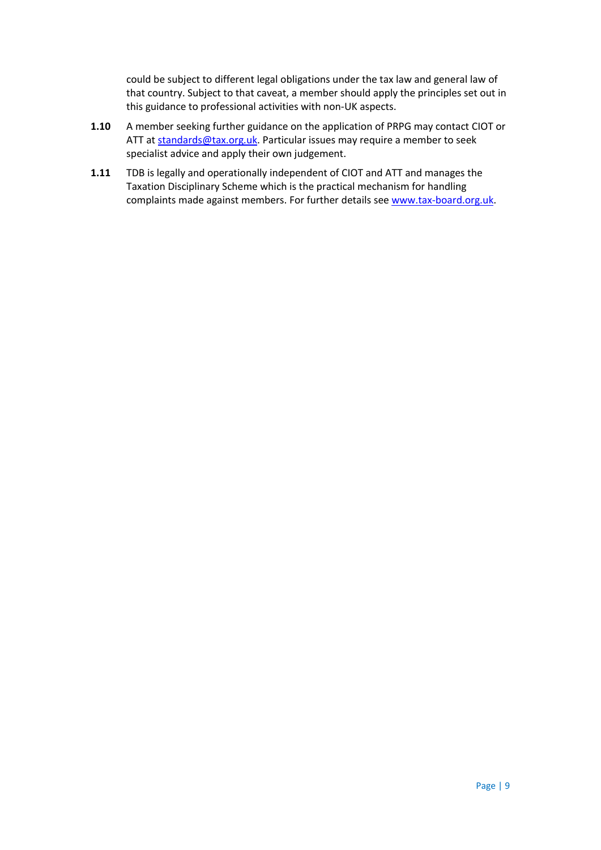could be subject to different legal obligations under the tax law and general law of that country. Subject to that caveat, a member should apply the principles set out in this guidance to professional activities with non-UK aspects.

- **1.10** A member seeking further guidance on the application of PRPG may contact CIOT or ATT at [standards@tax.org.uk.](mailto:standards@tax.org.uk) Particular issues may require a member to seek specialist advice and apply their own judgement.
- **1.11** TDB is legally and operationally independent of CIOT and ATT and manages the Taxation Disciplinary Scheme which is the practical mechanism for handling complaints made against members. For further details see [www.tax-board.org.uk.](http://www.tax-board.org.uk/)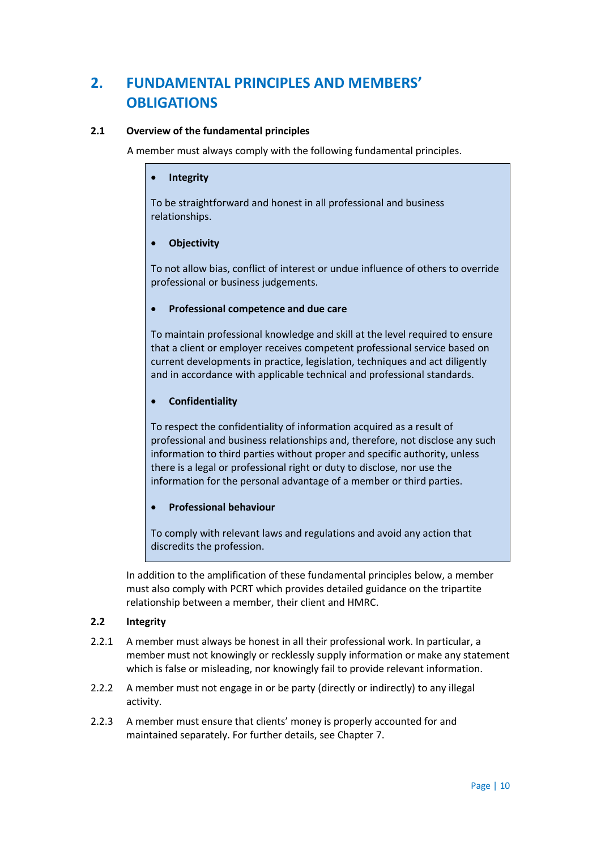# **2. FUNDAMENTAL PRINCIPLES AND MEMBERS' OBLIGATIONS**

# **2.1 Overview of the fundamental principles**

A member must always comply with the following fundamental principles.

### **Integrity**

To be straightforward and honest in all professional and business relationships.

# **Objectivity**

To not allow bias, conflict of interest or undue influence of others to override professional or business judgements.

# **Professional competence and due care**

To maintain professional knowledge and skill at the level required to ensure that a client or employer receives competent professional service based on current developments in practice, legislation, techniques and act diligently and in accordance with applicable technical and professional standards.

# **Confidentiality**

To respect the confidentiality of information acquired as a result of professional and business relationships and, therefore, not disclose any such information to third parties without proper and specific authority, unless there is a legal or professional right or duty to disclose, nor use the information for the personal advantage of a member or third parties.

# **Professional behaviour**

To comply with relevant laws and regulations and avoid any action that discredits the profession.

In addition to the amplification of these fundamental principles below, a member must also comply with PCRT which provides detailed guidance on the tripartite relationship between a member, their client and HMRC.

# **2.2 Integrity**

- 2.2.1 A member must always be honest in all their professional work. In particular, a member must not knowingly or recklessly supply information or make any statement which is false or misleading, nor knowingly fail to provide relevant information.
- 2.2.2 A member must not engage in or be party (directly or indirectly) to any illegal activity.
- 2.2.3 A member must ensure that clients' money is properly accounted for and maintained separately. For further details, see Chapter 7.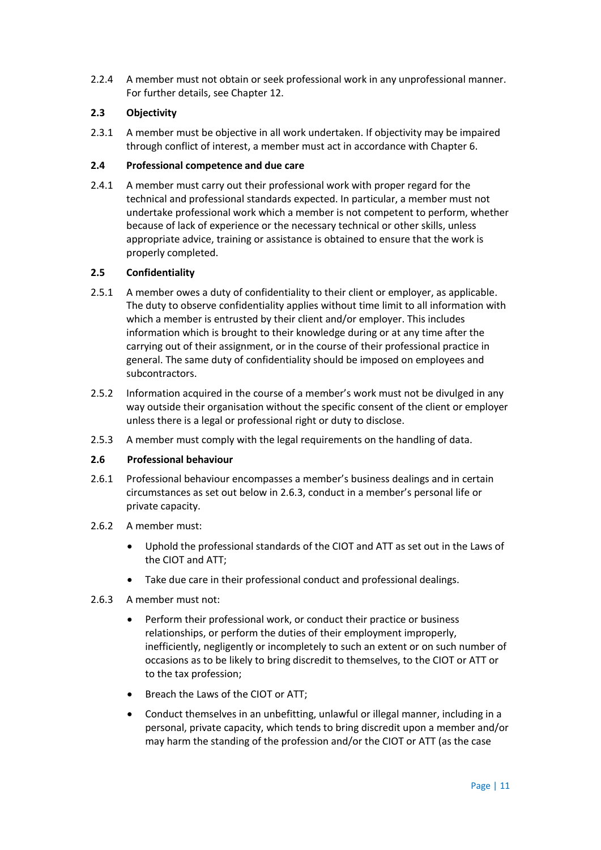2.2.4 A member must not obtain or seek professional work in any unprofessional manner. For further details, see Chapter 12.

# **2.3 Objectivity**

2.3.1 A member must be objective in all work undertaken. If objectivity may be impaired through conflict of interest, a member must act in accordance with Chapter 6.

# **2.4 Professional competence and due care**

2.4.1 A member must carry out their professional work with proper regard for the technical and professional standards expected. In particular, a member must not undertake professional work which a member is not competent to perform, whether because of lack of experience or the necessary technical or other skills, unless appropriate advice, training or assistance is obtained to ensure that the work is properly completed.

# **2.5 Confidentiality**

- 2.5.1 A member owes a duty of confidentiality to their client or employer, as applicable. The duty to observe confidentiality applies without time limit to all information with which a member is entrusted by their client and/or employer. This includes information which is brought to their knowledge during or at any time after the carrying out of their assignment, or in the course of their professional practice in general. The same duty of confidentiality should be imposed on employees and subcontractors.
- 2.5.2 Information acquired in the course of a member's work must not be divulged in any way outside their organisation without the specific consent of the client or employer unless there is a legal or professional right or duty to disclose.
- 2.5.3 A member must comply with the legal requirements on the handling of data.

### **2.6 Professional behaviour**

- 2.6.1 Professional behaviour encompasses a member's business dealings and in certain circumstances as set out below in 2.6.3, conduct in a member's personal life or private capacity.
- 2.6.2 A member must:
	- Uphold the professional standards of the CIOT and ATT as set out in the Laws of the CIOT and ATT;
	- Take due care in their professional conduct and professional dealings.
- 2.6.3 A member must not:
	- Perform their professional work, or conduct their practice or business relationships, or perform the duties of their employment improperly, inefficiently, negligently or incompletely to such an extent or on such number of occasions as to be likely to bring discredit to themselves, to the CIOT or ATT or to the tax profession;
	- Breach the Laws of the CIOT or ATT;
	- Conduct themselves in an unbefitting, unlawful or illegal manner, including in a personal, private capacity, which tends to bring discredit upon a member and/or may harm the standing of the profession and/or the CIOT or ATT (as the case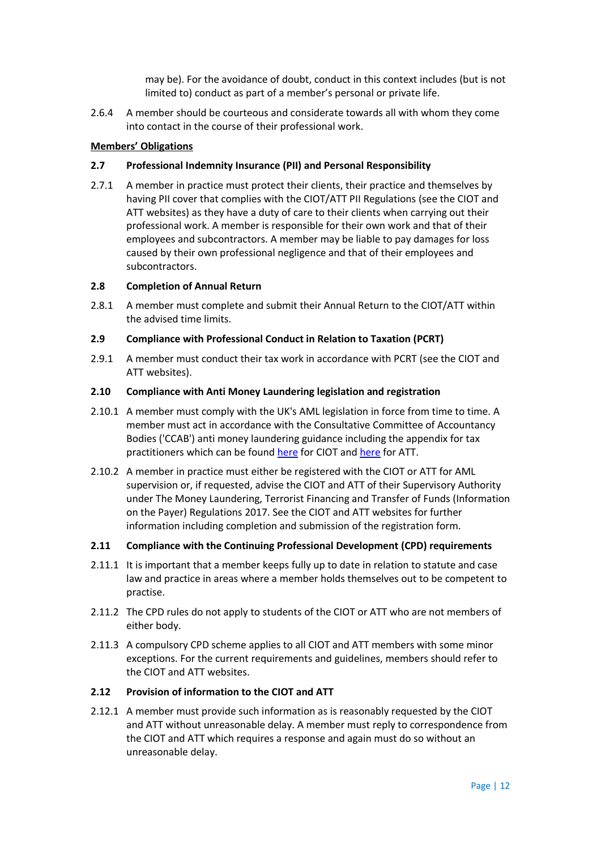may be). For the avoidance of doubt, conduct in this context includes (but is not limited to) conduct as part of a member's personal or private life.

2.6.4 A member should be courteous and considerate towards all with whom they come into contact in the course of their professional work.

#### **Members' Obligations**

#### **2.7 Professional Indemnity Insurance (PII) and Personal Responsibility**

2.7.1 A member in practice must protect their clients, their practice and themselves by having PII cover that complies with the CIOT/ATT PII Regulations (see the CIOT and ATT websites) as they have a duty of care to their clients when carrying out their professional work. A member is responsible for their own work and that of their employees and subcontractors. A member may be liable to pay damages for loss caused by their own professional negligence and that of their employees and subcontractors.

#### **2.8 Completion of Annual Return**

2.8.1 A member must complete and submit their Annual Return to the CIOT/ATT within the advised time limits.

#### **2.9 Compliance with Professional Conduct in Relation to Taxation (PCRT)**

2.9.1 A member must conduct their tax work in accordance with PCRT (see the CIOT and ATT websites).

#### **2.10 Compliance with Anti Money Laundering legislation and registration**

- 2.10.1 A member must comply with the UK's AML legislation in force from time to time. A member must act in accordance with the Consultative Committee of Accountancy Bodies ('CCAB') anti money laundering guidance including the appendix for tax practitioners which can be found [here](http://www.tax.org.uk/members/aml/AMLguidance) for CIOT an[d here](http://www.att.org.uk/members/aml/) for ATT.
- 2.10.2 A member in practice must either be registered with the CIOT or ATT for AML supervision or, if requested, advise the CIOT and ATT of their Supervisory Authority under The Money Laundering, Terrorist Financing and Transfer of Funds (Information on the Payer) Regulations 2017. See the CIOT and ATT websites for further information including completion and submission of the registration form.

#### **2.11 Compliance with the Continuing Professional Development (CPD) requirements**

- 2.11.1 It is important that a member keeps fully up to date in relation to statute and case law and practice in areas where a member holds themselves out to be competent to practise.
- 2.11.2 The CPD rules do not apply to students of the CIOT or ATT who are not members of either body.
- 2.11.3 A compulsory CPD scheme applies to all CIOT and ATT members with some minor exceptions. For the current requirements and guidelines, members should refer to the CIOT and ATT websites.

# **2.12 Provision of information to the CIOT and ATT**

2.12.1 A member must provide such information as is reasonably requested by the CIOT and ATT without unreasonable delay. A member must reply to correspondence from the CIOT and ATT which requires a response and again must do so without an unreasonable delay.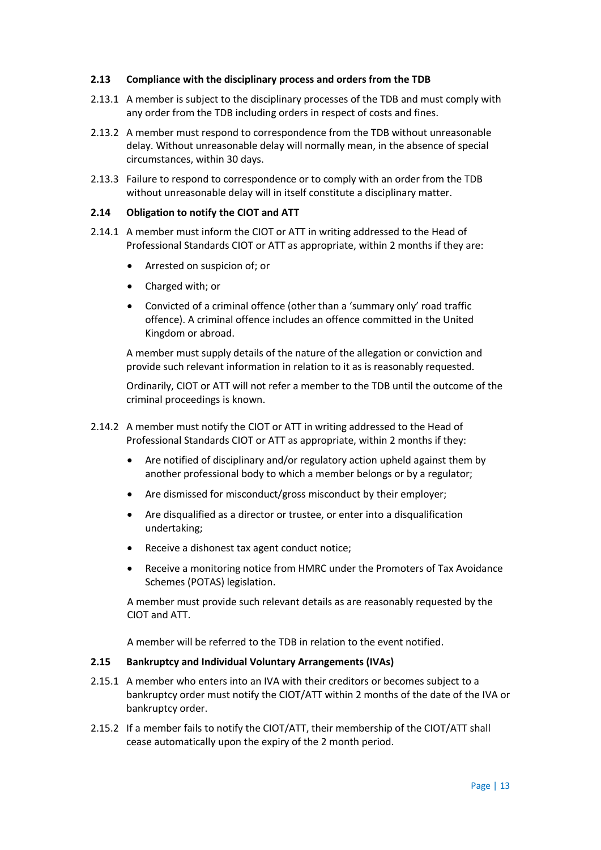#### **2.13 Compliance with the disciplinary process and orders from the TDB**

- 2.13.1 A member is subject to the disciplinary processes of the TDB and must comply with any order from the TDB including orders in respect of costs and fines.
- 2.13.2 A member must respond to correspondence from the TDB without unreasonable delay. Without unreasonable delay will normally mean, in the absence of special circumstances, within 30 days.
- 2.13.3 Failure to respond to correspondence or to comply with an order from the TDB without unreasonable delay will in itself constitute a disciplinary matter.

#### **2.14 Obligation to notify the CIOT and ATT**

- 2.14.1 A member must inform the CIOT or ATT in writing addressed to the Head of Professional Standards CIOT or ATT as appropriate, within 2 months if they are:
	- Arrested on suspicion of; or
	- Charged with; or
	- Convicted of a criminal offence (other than a 'summary only' road traffic offence). A criminal offence includes an offence committed in the United Kingdom or abroad.

A member must supply details of the nature of the allegation or conviction and provide such relevant information in relation to it as is reasonably requested.

Ordinarily, CIOT or ATT will not refer a member to the TDB until the outcome of the criminal proceedings is known.

- 2.14.2 A member must notify the CIOT or ATT in writing addressed to the Head of Professional Standards CIOT or ATT as appropriate, within 2 months if they:
	- Are notified of disciplinary and/or regulatory action upheld against them by another professional body to which a member belongs or by a regulator;
	- Are dismissed for misconduct/gross misconduct by their employer;
	- Are disqualified as a director or trustee, or enter into a disqualification undertaking;
	- Receive a dishonest tax agent conduct notice;
	- Receive a monitoring notice from HMRC under the Promoters of Tax Avoidance Schemes (POTAS) legislation.

A member must provide such relevant details as are reasonably requested by the CIOT and ATT.

A member will be referred to the TDB in relation to the event notified.

#### **2.15 Bankruptcy and Individual Voluntary Arrangements (IVAs)**

- 2.15.1 A member who enters into an IVA with their creditors or becomes subject to a bankruptcy order must notify the CIOT/ATT within 2 months of the date of the IVA or bankruptcy order.
- 2.15.2 If a member fails to notify the CIOT/ATT, their membership of the CIOT/ATT shall cease automatically upon the expiry of the 2 month period.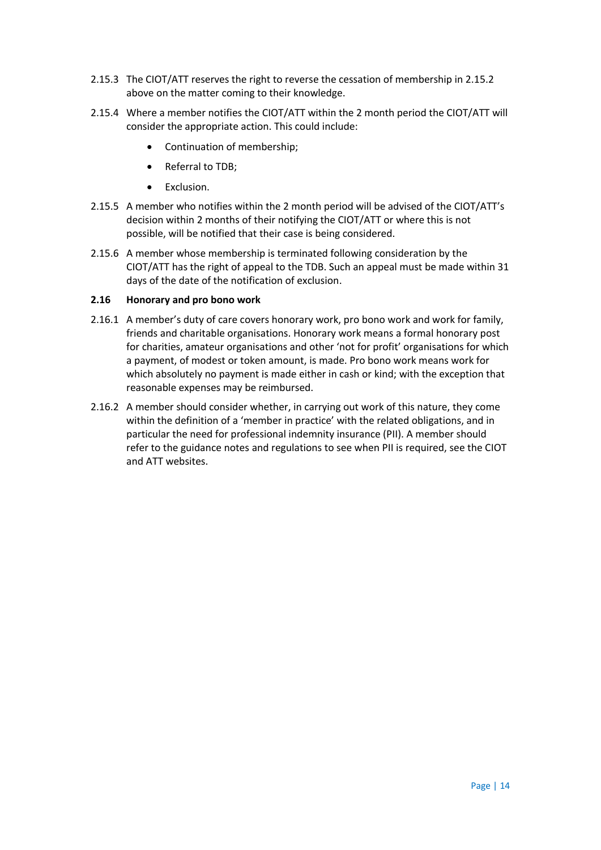- 2.15.3 The CIOT/ATT reserves the right to reverse the cessation of membership in 2.15.2 above on the matter coming to their knowledge.
- 2.15.4 Where a member notifies the CIOT/ATT within the 2 month period the CIOT/ATT will consider the appropriate action. This could include:
	- Continuation of membership;
	- Referral to TDB;
	- Exclusion.
- 2.15.5 A member who notifies within the 2 month period will be advised of the CIOT/ATT's decision within 2 months of their notifying the CIOT/ATT or where this is not possible, will be notified that their case is being considered.
- 2.15.6 A member whose membership is terminated following consideration by the CIOT/ATT has the right of appeal to the TDB. Such an appeal must be made within 31 days of the date of the notification of exclusion.

#### **2.16 Honorary and pro bono work**

- 2.16.1 A member's duty of care covers honorary work, pro bono work and work for family, friends and charitable organisations. Honorary work means a formal honorary post for charities, amateur organisations and other 'not for profit' organisations for which a payment, of modest or token amount, is made. Pro bono work means work for which absolutely no payment is made either in cash or kind; with the exception that reasonable expenses may be reimbursed.
- 2.16.2 A member should consider whether, in carrying out work of this nature, they come within the definition of a 'member in practice' with the related obligations, and in particular the need for professional indemnity insurance (PII). A member should refer to the guidance notes and regulations to see when PII is required, see the CIOT and ATT websites.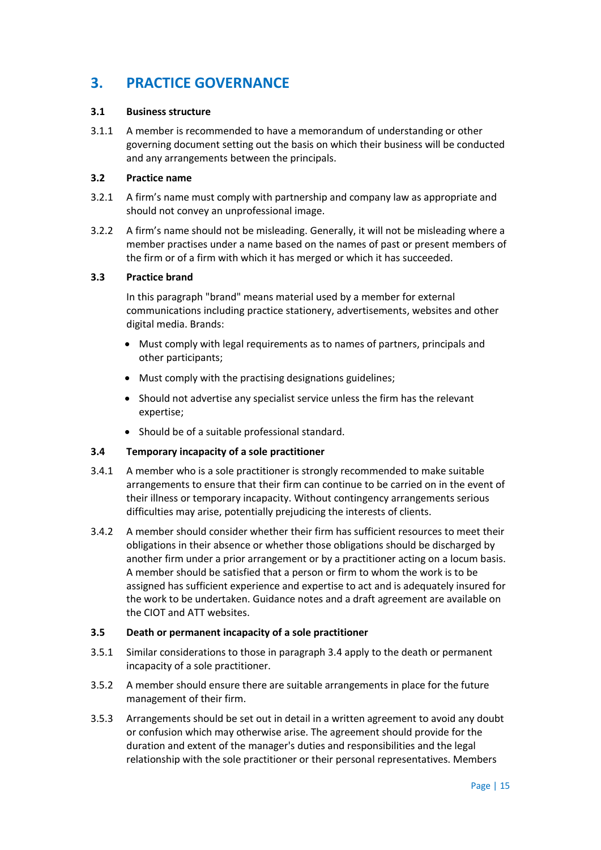# **3. PRACTICE GOVERNANCE**

#### **3.1 Business structure**

3.1.1 A member is recommended to have a memorandum of understanding or other governing document setting out the basis on which their business will be conducted and any arrangements between the principals.

### **3.2 Practice name**

- 3.2.1 A firm's name must comply with partnership and company law as appropriate and should not convey an unprofessional image.
- 3.2.2 A firm's name should not be misleading. Generally, it will not be misleading where a member practises under a name based on the names of past or present members of the firm or of a firm with which it has merged or which it has succeeded.

# **3.3 Practice brand**

In this paragraph "brand" means material used by a member for external communications including practice stationery, advertisements, websites and other digital media. Brands:

- Must comply with legal requirements as to names of partners, principals and other participants;
- Must comply with the practising designations guidelines;
- Should not advertise any specialist service unless the firm has the relevant expertise;
- Should be of a suitable professional standard.

#### **3.4 Temporary incapacity of a sole practitioner**

- 3.4.1 A member who is a sole practitioner is strongly recommended to make suitable arrangements to ensure that their firm can continue to be carried on in the event of their illness or temporary incapacity. Without contingency arrangements serious difficulties may arise, potentially prejudicing the interests of clients.
- 3.4.2 A member should consider whether their firm has sufficient resources to meet their obligations in their absence or whether those obligations should be discharged by another firm under a prior arrangement or by a practitioner acting on a locum basis. A member should be satisfied that a person or firm to whom the work is to be assigned has sufficient experience and expertise to act and is adequately insured for the work to be undertaken. Guidance notes and a draft agreement are available on the CIOT and ATT websites.

#### **3.5 Death or permanent incapacity of a sole practitioner**

- 3.5.1 Similar considerations to those in paragraph 3.4 apply to the death or permanent incapacity of a sole practitioner.
- 3.5.2 A member should ensure there are suitable arrangements in place for the future management of their firm.
- 3.5.3 Arrangements should be set out in detail in a written agreement to avoid any doubt or confusion which may otherwise arise. The agreement should provide for the duration and extent of the manager's duties and responsibilities and the legal relationship with the sole practitioner or their personal representatives. Members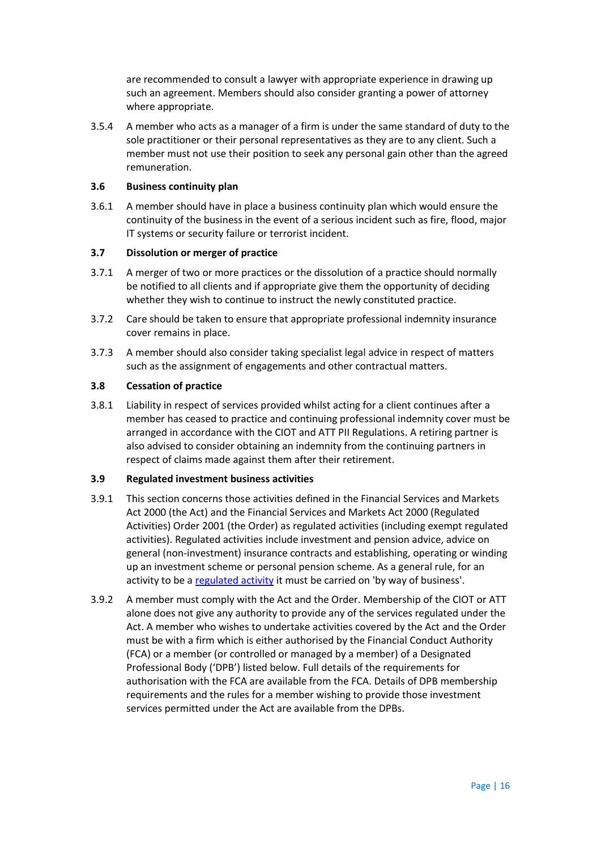are recommended to consult a lawyer with appropriate experience in drawing up such an agreement. Members should also consider granting a power of attorney where appropriate.

3.5.4 A member who acts as a manager of a firm is under the same standard of duty to the sole practitioner or their personal representatives as they are to any client. Such a member must not use their position to seek any personal gain other than the agreed remuneration.

### **3.6 Business continuity plan**

3.6.1 A member should have in place a business continuity plan which would ensure the continuity of the business in the event of a serious incident such as fire, flood, major IT systems or security failure or terrorist incident.

#### **3.7 Dissolution or merger of practice**

- 3.7.1 A merger of two or more practices or the dissolution of a practice should normally be notified to all clients and if appropriate give them the opportunity of deciding whether they wish to continue to instruct the newly constituted practice.
- 3.7.2 Care should be taken to ensure that appropriate professional indemnity insurance cover remains in place.
- 3.7.3 A member should also consider taking specialist legal advice in respect of matters such as the assignment of engagements and other contractual matters.

# **3.8 Cessation of practice**

3.8.1 Liability in respect of services provided whilst acting for a client continues after a member has ceased to practice and continuing professional indemnity cover must be arranged in accordance with the CIOT and ATT PII Regulations. A retiring partner is also advised to consider obtaining an indemnity from the continuing partners in respect of claims made against them after their retirement.

#### **3.9 Regulated investment business activities**

- 3.9.1 This section concerns those activities defined in the Financial Services and Markets Act 2000 (the Act) and the Financial Services and Markets Act 2000 (Regulated Activities) Order 2001 (the Order) as regulated activities (including exempt regulated activities). Regulated activities include investment and pension advice, advice on general (non-investment) insurance contracts and establishing, operating or winding up an investment scheme or personal pension scheme. As a general rule, for an activity to be a [regulated activity](https://www.handbook.fca.org.uk/handbook/glossary/G974.html) it must be carried on 'by way of business'.
- 3.9.2 A member must comply with the Act and the Order. Membership of the CIOT or ATT alone does not give any authority to provide any of the services regulated under the Act. A member who wishes to undertake activities covered by the Act and the Order must be with a firm which is either authorised by the Financial Conduct Authority (FCA) or a member (or controlled or managed by a member) of a Designated Professional Body ('DPB') listed below. Full details of the requirements for authorisation with the FCA are available from the FCA. Details of DPB membership requirements and the rules for a member wishing to provide those investment services permitted under the Act are available from the DPBs.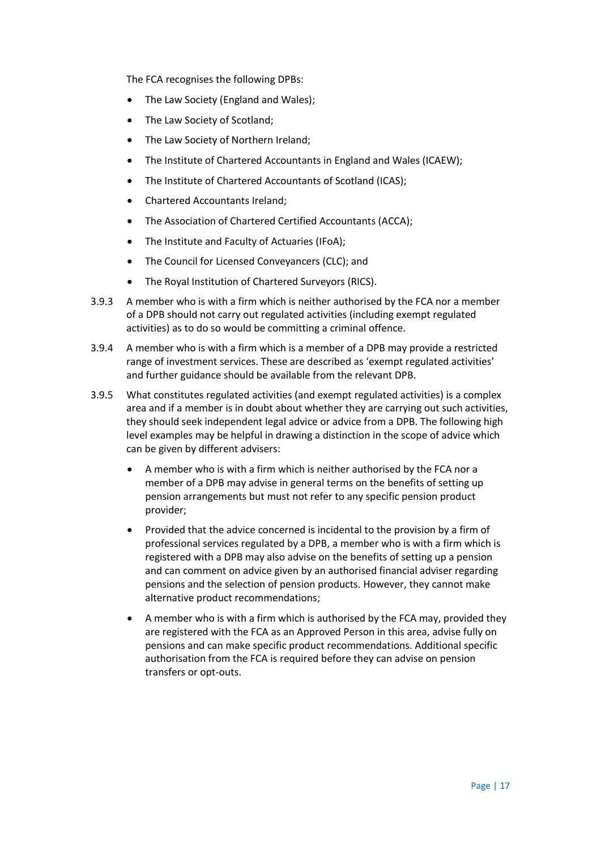The FCA recognises the following DPBs:

- The Law Society (England and Wales);
- The Law Society of Scotland:
- The Law Society of Northern Ireland;
- The Institute of Chartered Accountants in England and Wales (ICAEW);
- The Institute of Chartered Accountants of Scotland (ICAS);
- Chartered Accountants Ireland;
- The Association of Chartered Certified Accountants (ACCA);
- The Institute and Faculty of Actuaries (IFoA);
- The Council for Licensed Conveyancers (CLC); and
- The Royal Institution of Chartered Surveyors (RICS).
- 3.9.3 A member who is with a firm which is neither authorised by the FCA nor a member of a DPB should not carry out regulated activities (including exempt regulated activities) as to do so would be committing a criminal offence.
- 3.9.4 A member who is with a firm which is a member of a DPB may provide a restricted range of investment services. These are described as 'exempt regulated activities' and further guidance should be available from the relevant DPB.
- 3.9.5 What constitutes regulated activities (and exempt regulated activities) is a complex area and if a member is in doubt about whether they are carrying out such activities, they should seek independent legal advice or advice from a DPB. The following high level examples may be helpful in drawing a distinction in the scope of advice which can be given by different advisers:
	- A member who is with a firm which is neither authorised by the FCA nor a member of a DPB may advise in general terms on the benefits of setting up pension arrangements but must not refer to any specific pension product provider;
	- Provided that the advice concerned is incidental to the provision by a firm of professional services regulated by a DPB, a member who is with a firm which is registered with a DPB may also advise on the benefits of setting up a pension and can comment on advice given by an authorised financial adviser regarding pensions and the selection of pension products. However, they cannot make alternative product recommendations;
	- A member who is with a firm which is authorised by the FCA may, provided they are registered with the FCA as an Approved Person in this area, advise fully on pensions and can make specific product recommendations. Additional specific authorisation from the FCA is required before they can advise on pension transfers or opt-outs.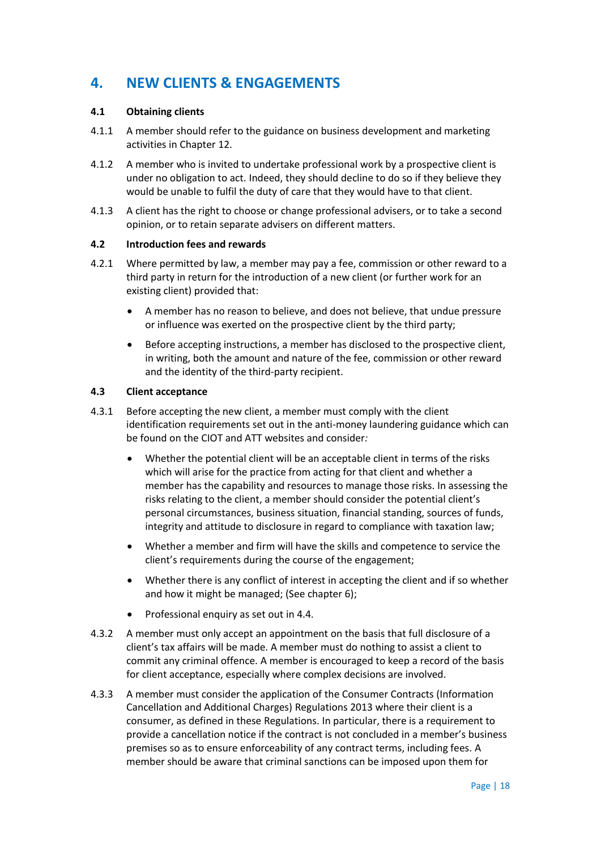# **4. NEW CLIENTS & ENGAGEMENTS**

# **4.1 Obtaining clients**

- 4.1.1 A member should refer to the guidance on business development and marketing activities in Chapter 12.
- 4.1.2 A member who is invited to undertake professional work by a prospective client is under no obligation to act. Indeed, they should decline to do so if they believe they would be unable to fulfil the duty of care that they would have to that client.
- 4.1.3 A client has the right to choose or change professional advisers, or to take a second opinion, or to retain separate advisers on different matters.

#### **4.2 Introduction fees and rewards**

- 4.2.1 Where permitted by law, a member may pay a fee, commission or other reward to a third party in return for the introduction of a new client (or further work for an existing client) provided that:
	- A member has no reason to believe, and does not believe, that undue pressure or influence was exerted on the prospective client by the third party;
	- Before accepting instructions, a member has disclosed to the prospective client, in writing, both the amount and nature of the fee, commission or other reward and the identity of the third-party recipient.

# **4.3 Client acceptance**

- 4.3.1 Before accepting the new client, a member must comply with the client identification requirements set out in the anti-money laundering guidance which can be found on the CIOT and ATT websites and consider*:*
	- Whether the potential client will be an acceptable client in terms of the risks which will arise for the practice from acting for that client and whether a member has the capability and resources to manage those risks. In assessing the risks relating to the client, a member should consider the potential client's personal circumstances, business situation, financial standing, sources of funds, integrity and attitude to disclosure in regard to compliance with taxation law;
	- Whether a member and firm will have the skills and competence to service the client's requirements during the course of the engagement;
	- Whether there is any conflict of interest in accepting the client and if so whether and how it might be managed; (See chapter 6);
	- Professional enquiry as set out in 4.4.
- 4.3.2 A member must only accept an appointment on the basis that full disclosure of a client's tax affairs will be made. A member must do nothing to assist a client to commit any criminal offence. A member is encouraged to keep a record of the basis for client acceptance, especially where complex decisions are involved.
- 4.3.3 A member must consider the application of the Consumer Contracts (Information Cancellation and Additional Charges) Regulations 2013 where their client is a consumer, as defined in these Regulations. In particular, there is a requirement to provide a cancellation notice if the contract is not concluded in a member's business premises so as to ensure enforceability of any contract terms, including fees. A member should be aware that criminal sanctions can be imposed upon them for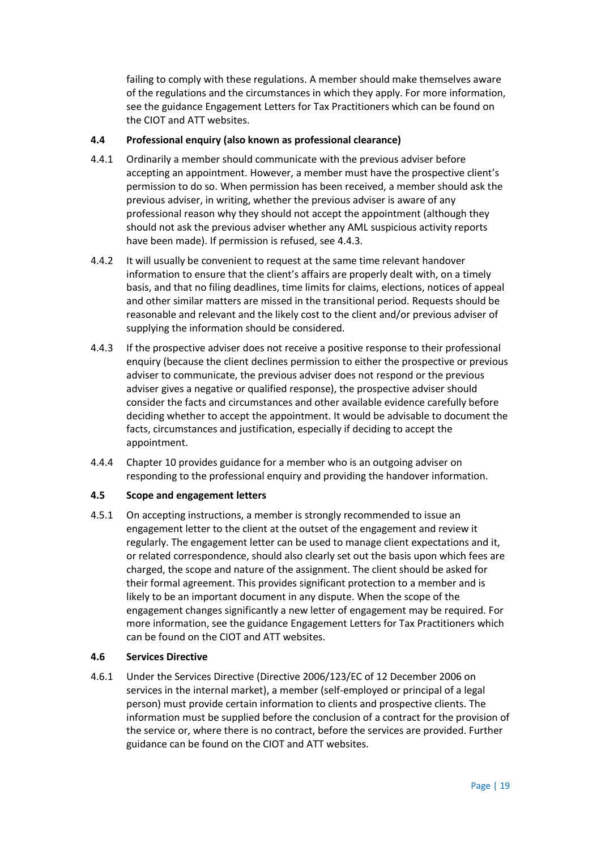failing to comply with these regulations. A member should make themselves aware of the regulations and the circumstances in which they apply. For more information, see the guidance Engagement Letters for Tax Practitioners which can be found on the CIOT and ATT websites.

# **4.4 Professional enquiry (also known as professional clearance)**

- 4.4.1 Ordinarily a member should communicate with the previous adviser before accepting an appointment. However, a member must have the prospective client's permission to do so. When permission has been received, a member should ask the previous adviser, in writing, whether the previous adviser is aware of any professional reason why they should not accept the appointment (although they should not ask the previous adviser whether any AML suspicious activity reports have been made). If permission is refused, see 4.4.3.
- 4.4.2 It will usually be convenient to request at the same time relevant handover information to ensure that the client's affairs are properly dealt with, on a timely basis, and that no filing deadlines, time limits for claims, elections, notices of appeal and other similar matters are missed in the transitional period. Requests should be reasonable and relevant and the likely cost to the client and/or previous adviser of supplying the information should be considered.
- 4.4.3 If the prospective adviser does not receive a positive response to their professional enquiry (because the client declines permission to either the prospective or previous adviser to communicate, the previous adviser does not respond or the previous adviser gives a negative or qualified response), the prospective adviser should consider the facts and circumstances and other available evidence carefully before deciding whether to accept the appointment. It would be advisable to document the facts, circumstances and justification, especially if deciding to accept the appointment.
- 4.4.4 Chapter 10 provides guidance for a member who is an outgoing adviser on responding to the professional enquiry and providing the handover information.

# **4.5 Scope and engagement letters**

4.5.1 On accepting instructions, a member is strongly recommended to issue an engagement letter to the client at the outset of the engagement and review it regularly. The engagement letter can be used to manage client expectations and it, or related correspondence, should also clearly set out the basis upon which fees are charged, the scope and nature of the assignment. The client should be asked for their formal agreement. This provides significant protection to a member and is likely to be an important document in any dispute. When the scope of the engagement changes significantly a new letter of engagement may be required. For more information, see the guidance Engagement Letters for Tax Practitioners which can be found on the CIOT and ATT websites.

#### **4.6 Services Directive**

4.6.1 Under the Services Directive (Directive 2006/123/EC of 12 December 2006 on services in the internal market), a member (self-employed or principal of a legal person) must provide certain information to clients and prospective clients. The information must be supplied before the conclusion of a contract for the provision of the service or, where there is no contract, before the services are provided. Further guidance can be found on the CIOT and ATT websites.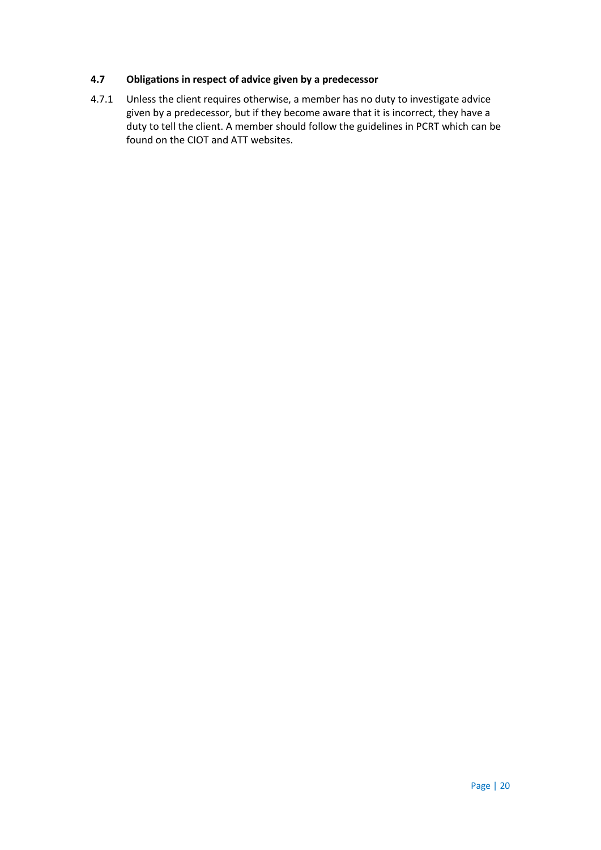# **4.7 Obligations in respect of advice given by a predecessor**

4.7.1 Unless the client requires otherwise, a member has no duty to investigate advice given by a predecessor, but if they become aware that it is incorrect, they have a duty to tell the client. A member should follow the guidelines in PCRT which can be found on the CIOT and ATT websites.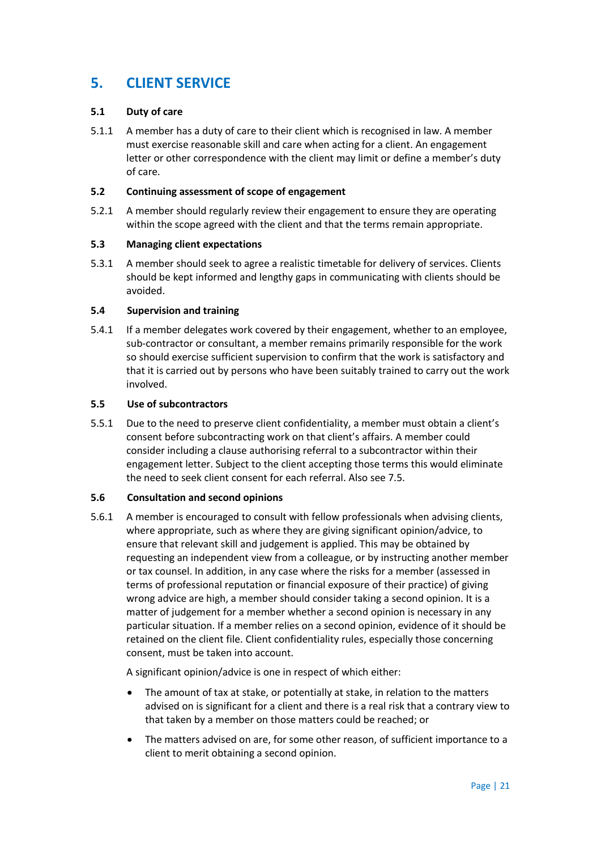# **5. CLIENT SERVICE**

# **5.1 Duty of care**

5.1.1 A member has a duty of care to their client which is recognised in law. A member must exercise reasonable skill and care when acting for a client. An engagement letter or other correspondence with the client may limit or define a member's duty of care.

### **5.2 Continuing assessment of scope of engagement**

5.2.1 A member should regularly review their engagement to ensure they are operating within the scope agreed with the client and that the terms remain appropriate.

# **5.3 Managing client expectations**

5.3.1 A member should seek to agree a realistic timetable for delivery of services. Clients should be kept informed and lengthy gaps in communicating with clients should be avoided.

# **5.4 Supervision and training**

5.4.1 If a member delegates work covered by their engagement, whether to an employee, sub-contractor or consultant, a member remains primarily responsible for the work so should exercise sufficient supervision to confirm that the work is satisfactory and that it is carried out by persons who have been suitably trained to carry out the work involved.

#### **5.5 Use of subcontractors**

5.5.1 Due to the need to preserve client confidentiality, a member must obtain a client's consent before subcontracting work on that client's affairs. A member could consider including a clause authorising referral to a subcontractor within their engagement letter. Subject to the client accepting those terms this would eliminate the need to seek client consent for each referral. Also see 7.5.

#### **5.6 Consultation and second opinions**

5.6.1 A member is encouraged to consult with fellow professionals when advising clients, where appropriate, such as where they are giving significant opinion/advice, to ensure that relevant skill and judgement is applied. This may be obtained by requesting an independent view from a colleague, or by instructing another member or tax counsel. In addition, in any case where the risks for a member (assessed in terms of professional reputation or financial exposure of their practice) of giving wrong advice are high, a member should consider taking a second opinion. It is a matter of judgement for a member whether a second opinion is necessary in any particular situation. If a member relies on a second opinion, evidence of it should be retained on the client file. Client confidentiality rules, especially those concerning consent, must be taken into account.

A significant opinion/advice is one in respect of which either:

- The amount of tax at stake, or potentially at stake, in relation to the matters advised on is significant for a client and there is a real risk that a contrary view to that taken by a member on those matters could be reached; or
- The matters advised on are, for some other reason, of sufficient importance to a client to merit obtaining a second opinion.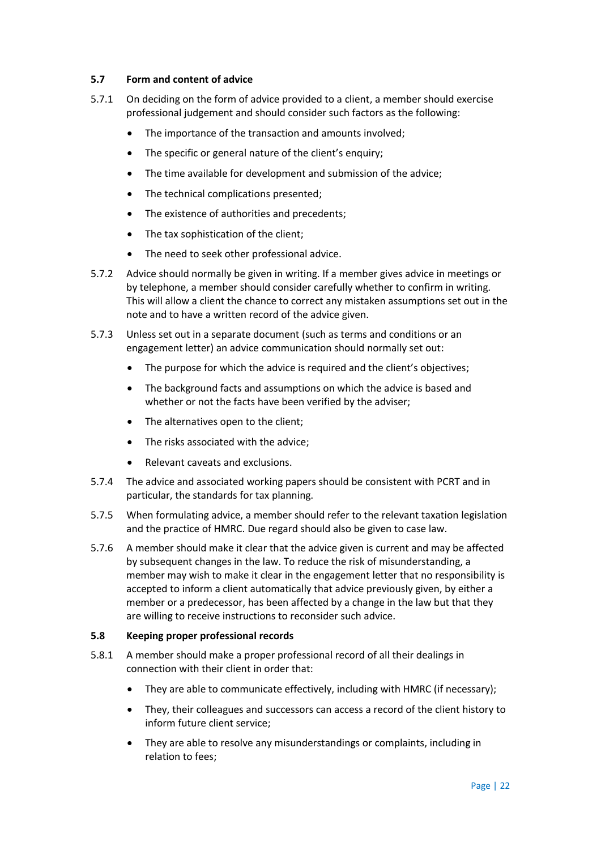# **5.7 Form and content of advice**

- 5.7.1 On deciding on the form of advice provided to a client, a member should exercise professional judgement and should consider such factors as the following:
	- The importance of the transaction and amounts involved;
	- The specific or general nature of the client's enquiry;
	- The time available for development and submission of the advice;
	- The technical complications presented;
	- The existence of authorities and precedents;
	- The tax sophistication of the client;
	- The need to seek other professional advice.
- 5.7.2 Advice should normally be given in writing. If a member gives advice in meetings or by telephone, a member should consider carefully whether to confirm in writing. This will allow a client the chance to correct any mistaken assumptions set out in the note and to have a written record of the advice given.
- 5.7.3 Unless set out in a separate document (such as terms and conditions or an engagement letter) an advice communication should normally set out:
	- The purpose for which the advice is required and the client's objectives;
	- The background facts and assumptions on which the advice is based and whether or not the facts have been verified by the adviser;
	- The alternatives open to the client;
	- The risks associated with the advice;
	- Relevant caveats and exclusions.
- 5.7.4 The advice and associated working papers should be consistent with PCRT and in particular, the standards for tax planning.
- 5.7.5 When formulating advice, a member should refer to the relevant taxation legislation and the practice of HMRC. Due regard should also be given to case law.
- 5.7.6 A member should make it clear that the advice given is current and may be affected by subsequent changes in the law. To reduce the risk of misunderstanding, a member may wish to make it clear in the engagement letter that no responsibility is accepted to inform a client automatically that advice previously given, by either a member or a predecessor, has been affected by a change in the law but that they are willing to receive instructions to reconsider such advice.

#### **5.8 Keeping proper professional records**

- 5.8.1 A member should make a proper professional record of all their dealings in connection with their client in order that:
	- They are able to communicate effectively, including with HMRC (if necessary);
	- They, their colleagues and successors can access a record of the client history to inform future client service;
	- They are able to resolve any misunderstandings or complaints, including in relation to fees;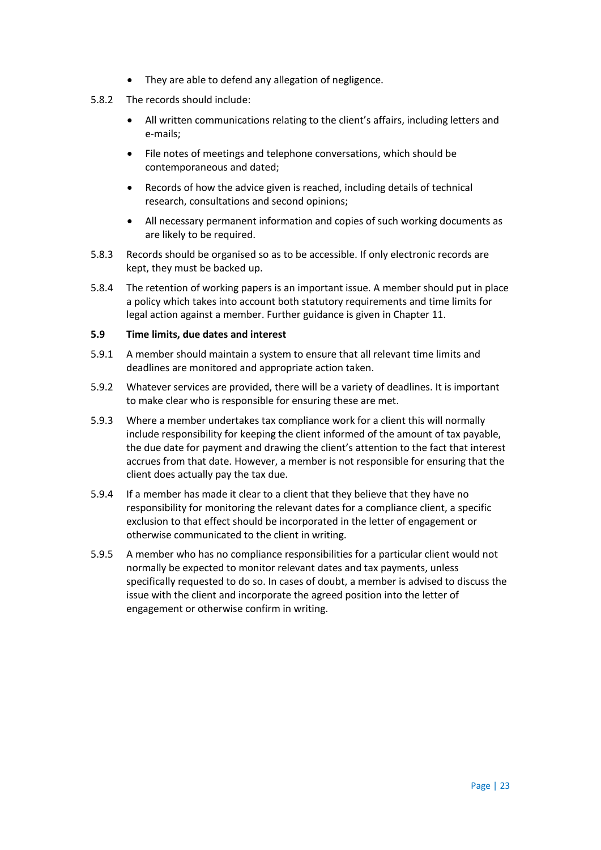- They are able to defend any allegation of negligence.
- 5.8.2 The records should include:
	- All written communications relating to the client's affairs, including letters and e-mails;
	- File notes of meetings and telephone conversations, which should be contemporaneous and dated;
	- Records of how the advice given is reached, including details of technical research, consultations and second opinions;
	- All necessary permanent information and copies of such working documents as are likely to be required.
- 5.8.3 Records should be organised so as to be accessible. If only electronic records are kept, they must be backed up.
- 5.8.4 The retention of working papers is an important issue. A member should put in place a policy which takes into account both statutory requirements and time limits for legal action against a member. Further guidance is given in Chapter 11.

#### **5.9 Time limits, due dates and interest**

- 5.9.1 A member should maintain a system to ensure that all relevant time limits and deadlines are monitored and appropriate action taken.
- 5.9.2 Whatever services are provided, there will be a variety of deadlines. It is important to make clear who is responsible for ensuring these are met.
- 5.9.3 Where a member undertakes tax compliance work for a client this will normally include responsibility for keeping the client informed of the amount of tax payable, the due date for payment and drawing the client's attention to the fact that interest accrues from that date. However, a member is not responsible for ensuring that the client does actually pay the tax due.
- 5.9.4 If a member has made it clear to a client that they believe that they have no responsibility for monitoring the relevant dates for a compliance client, a specific exclusion to that effect should be incorporated in the letter of engagement or otherwise communicated to the client in writing.
- 5.9.5 A member who has no compliance responsibilities for a particular client would not normally be expected to monitor relevant dates and tax payments, unless specifically requested to do so. In cases of doubt, a member is advised to discuss the issue with the client and incorporate the agreed position into the letter of engagement or otherwise confirm in writing.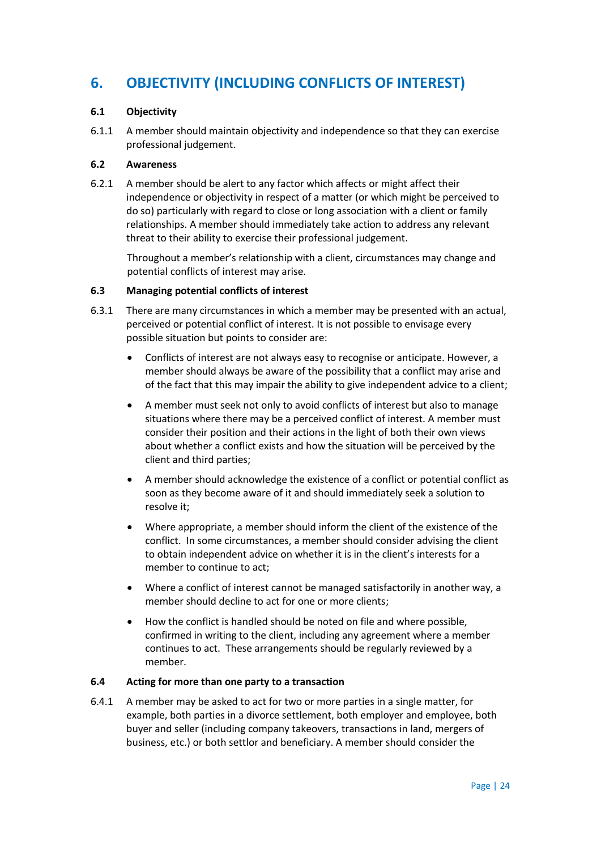# **6. OBJECTIVITY (INCLUDING CONFLICTS OF INTEREST)**

# **6.1 Objectivity**

6.1.1 A member should maintain objectivity and independence so that they can exercise professional judgement.

#### **6.2 Awareness**

6.2.1 A member should be alert to any factor which affects or might affect their independence or objectivity in respect of a matter (or which might be perceived to do so) particularly with regard to close or long association with a client or family relationships. A member should immediately take action to address any relevant threat to their ability to exercise their professional judgement.

Throughout a member's relationship with a client, circumstances may change and potential conflicts of interest may arise.

#### **6.3 Managing potential conflicts of interest**

- 6.3.1 There are many circumstances in which a member may be presented with an actual, perceived or potential conflict of interest. It is not possible to envisage every possible situation but points to consider are:
	- Conflicts of interest are not always easy to recognise or anticipate. However, a member should always be aware of the possibility that a conflict may arise and of the fact that this may impair the ability to give independent advice to a client;
	- A member must seek not only to avoid conflicts of interest but also to manage situations where there may be a perceived conflict of interest. A member must consider their position and their actions in the light of both their own views about whether a conflict exists and how the situation will be perceived by the client and third parties;
	- A member should acknowledge the existence of a conflict or potential conflict as soon as they become aware of it and should immediately seek a solution to resolve it;
	- Where appropriate, a member should inform the client of the existence of the conflict. In some circumstances, a member should consider advising the client to obtain independent advice on whether it is in the client's interests for a member to continue to act;
	- Where a conflict of interest cannot be managed satisfactorily in another way, a member should decline to act for one or more clients;
	- How the conflict is handled should be noted on file and where possible, confirmed in writing to the client, including any agreement where a member continues to act. These arrangements should be regularly reviewed by a member.

#### **6.4 Acting for more than one party to a transaction**

6.4.1 A member may be asked to act for two or more parties in a single matter, for example, both parties in a divorce settlement, both employer and employee, both buyer and seller (including company takeovers, transactions in land, mergers of business, etc.) or both settlor and beneficiary. A member should consider the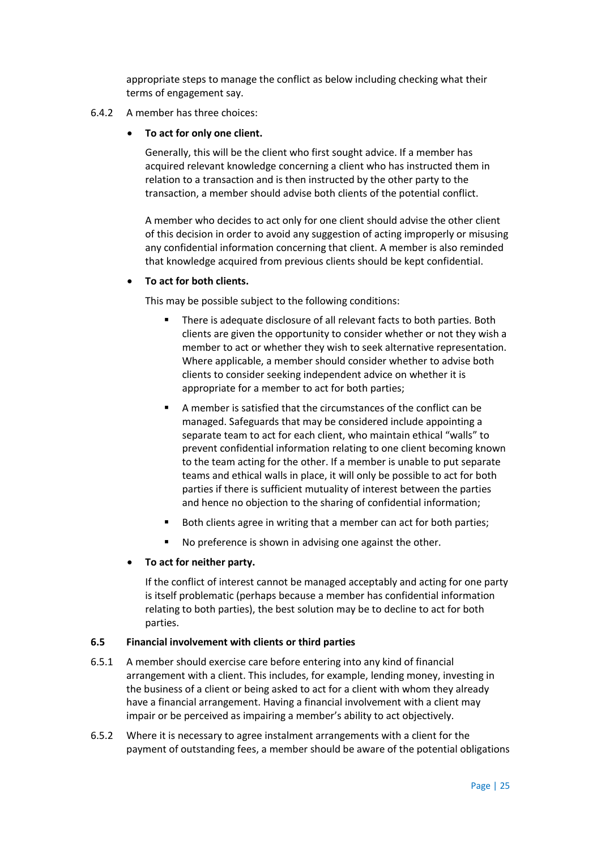appropriate steps to manage the conflict as below including checking what their terms of engagement say.

#### 6.4.2 A member has three choices:

#### **To act for only one client.**

Generally, this will be the client who first sought advice. If a member has acquired relevant knowledge concerning a client who has instructed them in relation to a transaction and is then instructed by the other party to the transaction, a member should advise both clients of the potential conflict.

A member who decides to act only for one client should advise the other client of this decision in order to avoid any suggestion of acting improperly or misusing any confidential information concerning that client. A member is also reminded that knowledge acquired from previous clients should be kept confidential.

#### **To act for both clients.**

This may be possible subject to the following conditions:

- There is adequate disclosure of all relevant facts to both parties. Both clients are given the opportunity to consider whether or not they wish a member to act or whether they wish to seek alternative representation. Where applicable, a member should consider whether to advise both clients to consider seeking independent advice on whether it is appropriate for a member to act for both parties;
- A member is satisfied that the circumstances of the conflict can be managed. Safeguards that may be considered include appointing a separate team to act for each client, who maintain ethical "walls" to prevent confidential information relating to one client becoming known to the team acting for the other. If a member is unable to put separate teams and ethical walls in place, it will only be possible to act for both parties if there is sufficient mutuality of interest between the parties and hence no objection to the sharing of confidential information;
- Both clients agree in writing that a member can act for both parties;
- No preference is shown in advising one against the other.

#### **To act for neither party.**

If the conflict of interest cannot be managed acceptably and acting for one party is itself problematic (perhaps because a member has confidential information relating to both parties), the best solution may be to decline to act for both parties.

#### **6.5 Financial involvement with clients or third parties**

- 6.5.1 A member should exercise care before entering into any kind of financial arrangement with a client. This includes, for example, lending money, investing in the business of a client or being asked to act for a client with whom they already have a financial arrangement. Having a financial involvement with a client may impair or be perceived as impairing a member's ability to act objectively.
- 6.5.2 Where it is necessary to agree instalment arrangements with a client for the payment of outstanding fees, a member should be aware of the potential obligations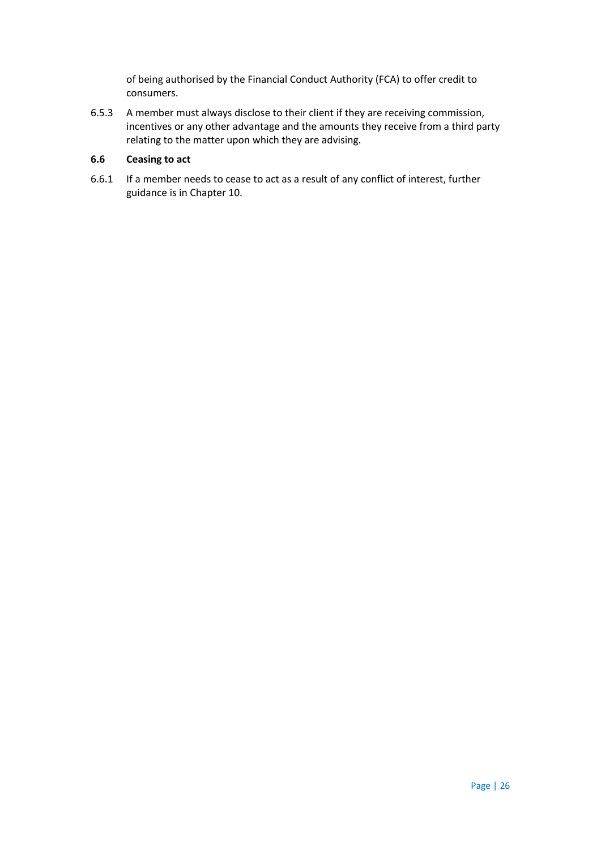of being authorised by the Financial Conduct Authority (FCA) to offer credit to consumers.

6.5.3 A member must always disclose to their client if they are receiving commission, incentives or any other advantage and the amounts they receive from a third party relating to the matter upon which they are advising.

### **6.6 Ceasing to act**

6.6.1 If a member needs to cease to act as a result of any conflict of interest, further guidance is in Chapter 10.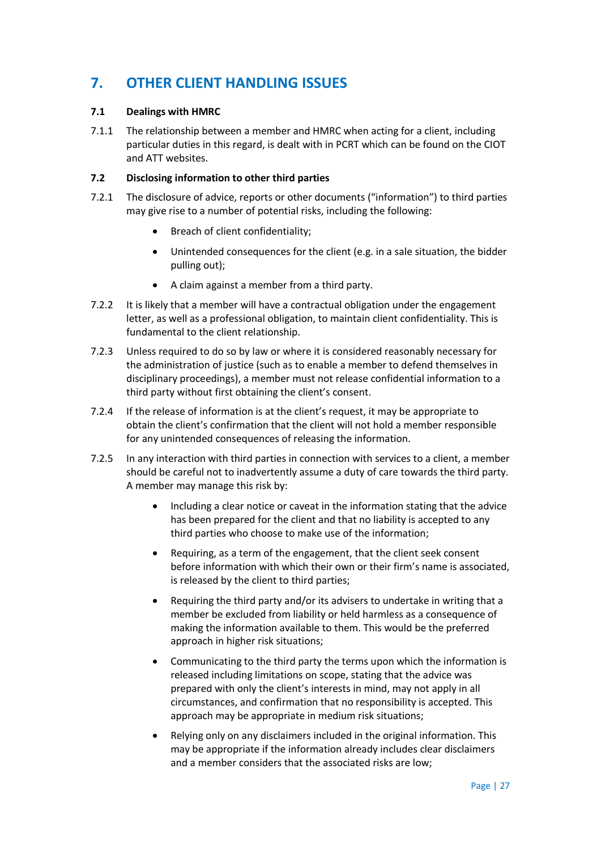# **7. OTHER CLIENT HANDLING ISSUES**

# **7.1 Dealings with HMRC**

7.1.1 The relationship between a member and HMRC when acting for a client, including particular duties in this regard, is dealt with in PCRT which can be found on the CIOT and ATT websites.

#### **7.2 Disclosing information to other third parties**

- 7.2.1 The disclosure of advice, reports or other documents ("information") to third parties may give rise to a number of potential risks, including the following:
	- Breach of client confidentiality;
	- Unintended consequences for the client (e.g. in a sale situation, the bidder pulling out);
	- A claim against a member from a third party.
- 7.2.2 It is likely that a member will have a contractual obligation under the engagement letter, as well as a professional obligation, to maintain client confidentiality. This is fundamental to the client relationship.
- 7.2.3 Unless required to do so by law or where it is considered reasonably necessary for the administration of justice (such as to enable a member to defend themselves in disciplinary proceedings), a member must not release confidential information to a third party without first obtaining the client's consent.
- 7.2.4 If the release of information is at the client's request, it may be appropriate to obtain the client's confirmation that the client will not hold a member responsible for any unintended consequences of releasing the information.
- 7.2.5 In any interaction with third parties in connection with services to a client, a member should be careful not to inadvertently assume a duty of care towards the third party. A member may manage this risk by:
	- Including a clear notice or caveat in the information stating that the advice has been prepared for the client and that no liability is accepted to any third parties who choose to make use of the information;
	- Requiring, as a term of the engagement, that the client seek consent before information with which their own or their firm's name is associated, is released by the client to third parties;
	- Requiring the third party and/or its advisers to undertake in writing that a member be excluded from liability or held harmless as a consequence of making the information available to them. This would be the preferred approach in higher risk situations;
	- Communicating to the third party the terms upon which the information is released including limitations on scope, stating that the advice was prepared with only the client's interests in mind, may not apply in all circumstances, and confirmation that no responsibility is accepted. This approach may be appropriate in medium risk situations;
	- Relying only on any disclaimers included in the original information. This may be appropriate if the information already includes clear disclaimers and a member considers that the associated risks are low;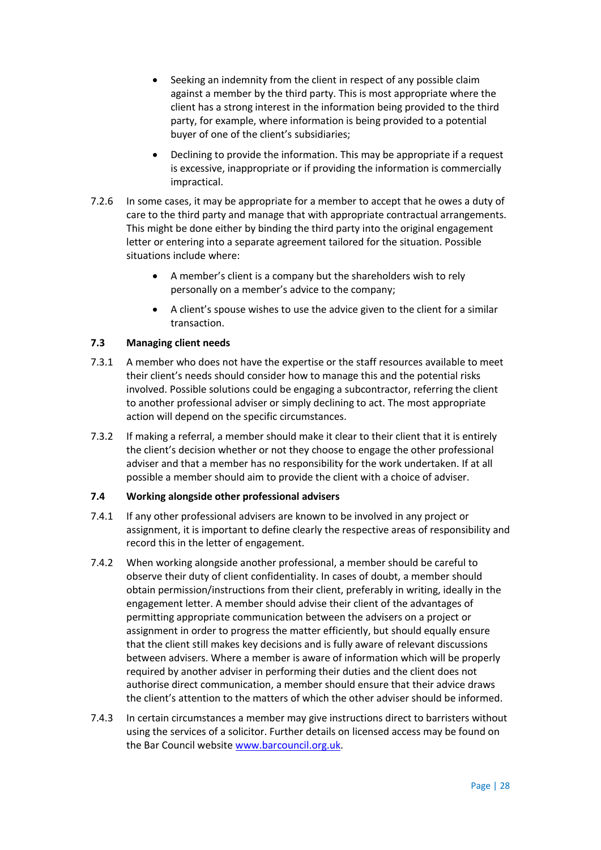- Seeking an indemnity from the client in respect of any possible claim against a member by the third party. This is most appropriate where the client has a strong interest in the information being provided to the third party, for example, where information is being provided to a potential buyer of one of the client's subsidiaries;
- Declining to provide the information. This may be appropriate if a request is excessive, inappropriate or if providing the information is commercially impractical.
- 7.2.6 In some cases, it may be appropriate for a member to accept that he owes a duty of care to the third party and manage that with appropriate contractual arrangements. This might be done either by binding the third party into the original engagement letter or entering into a separate agreement tailored for the situation. Possible situations include where:
	- A member's client is a company but the shareholders wish to rely personally on a member's advice to the company;
	- A client's spouse wishes to use the advice given to the client for a similar transaction.

# **7.3 Managing client needs**

- 7.3.1 A member who does not have the expertise or the staff resources available to meet their client's needs should consider how to manage this and the potential risks involved. Possible solutions could be engaging a subcontractor, referring the client to another professional adviser or simply declining to act. The most appropriate action will depend on the specific circumstances.
- 7.3.2 If making a referral, a member should make it clear to their client that it is entirely the client's decision whether or not they choose to engage the other professional adviser and that a member has no responsibility for the work undertaken. If at all possible a member should aim to provide the client with a choice of adviser.

#### **7.4 Working alongside other professional advisers**

- 7.4.1 If any other professional advisers are known to be involved in any project or assignment, it is important to define clearly the respective areas of responsibility and record this in the letter of engagement.
- 7.4.2 When working alongside another professional, a member should be careful to observe their duty of client confidentiality. In cases of doubt, a member should obtain permission/instructions from their client, preferably in writing, ideally in the engagement letter. A member should advise their client of the advantages of permitting appropriate communication between the advisers on a project or assignment in order to progress the matter efficiently, but should equally ensure that the client still makes key decisions and is fully aware of relevant discussions between advisers. Where a member is aware of information which will be properly required by another adviser in performing their duties and the client does not authorise direct communication, a member should ensure that their advice draws the client's attention to the matters of which the other adviser should be informed.
- 7.4.3 In certain circumstances a member may give instructions direct to barristers without using the services of a solicitor. Further details on licensed access may be found on the Bar Council website [www.barcouncil.org.uk.](http://www.barcouncil.org.uk/)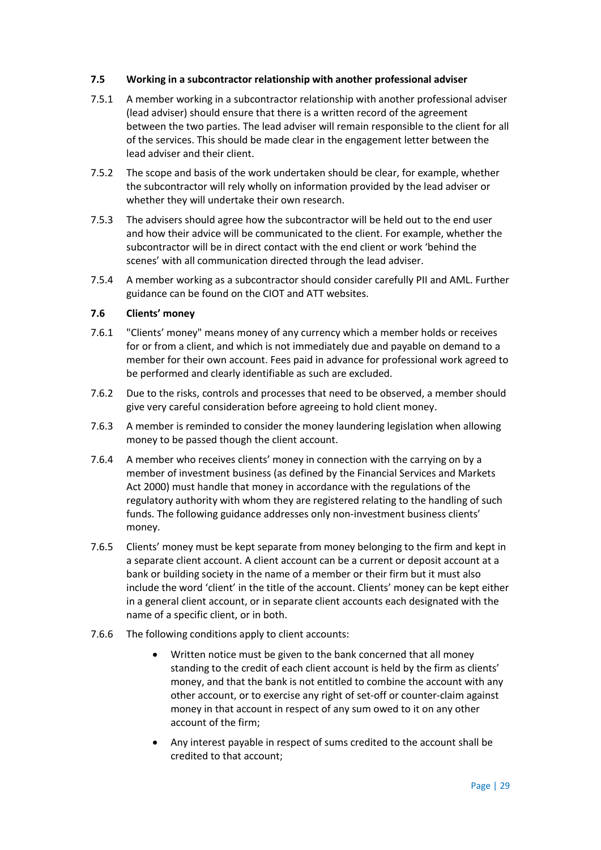#### **7.5 Working in a subcontractor relationship with another professional adviser**

- 7.5.1 A member working in a subcontractor relationship with another professional adviser (lead adviser) should ensure that there is a written record of the agreement between the two parties. The lead adviser will remain responsible to the client for all of the services. This should be made clear in the engagement letter between the lead adviser and their client.
- 7.5.2 The scope and basis of the work undertaken should be clear, for example, whether the subcontractor will rely wholly on information provided by the lead adviser or whether they will undertake their own research.
- 7.5.3 The advisers should agree how the subcontractor will be held out to the end user and how their advice will be communicated to the client. For example, whether the subcontractor will be in direct contact with the end client or work 'behind the scenes' with all communication directed through the lead adviser.
- 7.5.4 A member working as a subcontractor should consider carefully PII and AML. Further guidance can be found on the CIOT and ATT websites.

# **7.6 Clients' money**

- 7.6.1 "Clients' money" means money of any currency which a member holds or receives for or from a client, and which is not immediately due and payable on demand to a member for their own account. Fees paid in advance for professional work agreed to be performed and clearly identifiable as such are excluded.
- 7.6.2 Due to the risks, controls and processes that need to be observed, a member should give very careful consideration before agreeing to hold client money.
- 7.6.3 A member is reminded to consider the money laundering legislation when allowing money to be passed though the client account.
- 7.6.4 A member who receives clients' money in connection with the carrying on by a member of investment business (as defined by the Financial Services and Markets Act 2000) must handle that money in accordance with the regulations of the regulatory authority with whom they are registered relating to the handling of such funds. The following guidance addresses only non-investment business clients' money.
- 7.6.5 Clients' money must be kept separate from money belonging to the firm and kept in a separate client account. A client account can be a current or deposit account at a bank or building society in the name of a member or their firm but it must also include the word 'client' in the title of the account. Clients' money can be kept either in a general client account, or in separate client accounts each designated with the name of a specific client, or in both.
- 7.6.6 The following conditions apply to client accounts:
	- Written notice must be given to the bank concerned that all money standing to the credit of each client account is held by the firm as clients' money, and that the bank is not entitled to combine the account with any other account, or to exercise any right of set-off or counter-claim against money in that account in respect of any sum owed to it on any other account of the firm;
	- Any interest payable in respect of sums credited to the account shall be credited to that account;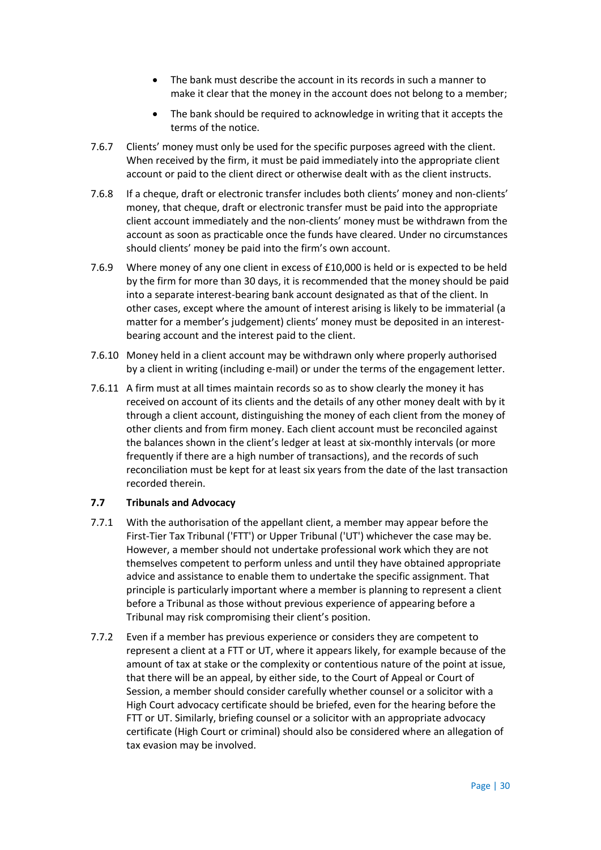- The bank must describe the account in its records in such a manner to make it clear that the money in the account does not belong to a member;
- The bank should be required to acknowledge in writing that it accepts the terms of the notice.
- 7.6.7 Clients' money must only be used for the specific purposes agreed with the client. When received by the firm, it must be paid immediately into the appropriate client account or paid to the client direct or otherwise dealt with as the client instructs.
- 7.6.8 If a cheque, draft or electronic transfer includes both clients' money and non-clients' money, that cheque, draft or electronic transfer must be paid into the appropriate client account immediately and the non-clients' money must be withdrawn from the account as soon as practicable once the funds have cleared. Under no circumstances should clients' money be paid into the firm's own account.
- 7.6.9 Where money of any one client in excess of £10,000 is held or is expected to be held by the firm for more than 30 days, it is recommended that the money should be paid into a separate interest-bearing bank account designated as that of the client. In other cases, except where the amount of interest arising is likely to be immaterial (a matter for a member's judgement) clients' money must be deposited in an interestbearing account and the interest paid to the client.
- 7.6.10 Money held in a client account may be withdrawn only where properly authorised by a client in writing (including e-mail) or under the terms of the engagement letter.
- 7.6.11 A firm must at all times maintain records so as to show clearly the money it has received on account of its clients and the details of any other money dealt with by it through a client account, distinguishing the money of each client from the money of other clients and from firm money. Each client account must be reconciled against the balances shown in the client's ledger at least at six-monthly intervals (or more frequently if there are a high number of transactions), and the records of such reconciliation must be kept for at least six years from the date of the last transaction recorded therein.

#### **7.7 Tribunals and Advocacy**

- 7.7.1 With the authorisation of the appellant client, a member may appear before the First-Tier Tax Tribunal ('FTT') or Upper Tribunal ('UT') whichever the case may be. However, a member should not undertake professional work which they are not themselves competent to perform unless and until they have obtained appropriate advice and assistance to enable them to undertake the specific assignment. That principle is particularly important where a member is planning to represent a client before a Tribunal as those without previous experience of appearing before a Tribunal may risk compromising their client's position.
- 7.7.2 Even if a member has previous experience or considers they are competent to represent a client at a FTT or UT, where it appears likely, for example because of the amount of tax at stake or the complexity or contentious nature of the point at issue, that there will be an appeal, by either side, to the Court of Appeal or Court of Session, a member should consider carefully whether counsel or a solicitor with a High Court advocacy certificate should be briefed, even for the hearing before the FTT or UT. Similarly, briefing counsel or a solicitor with an appropriate advocacy certificate (High Court or criminal) should also be considered where an allegation of tax evasion may be involved.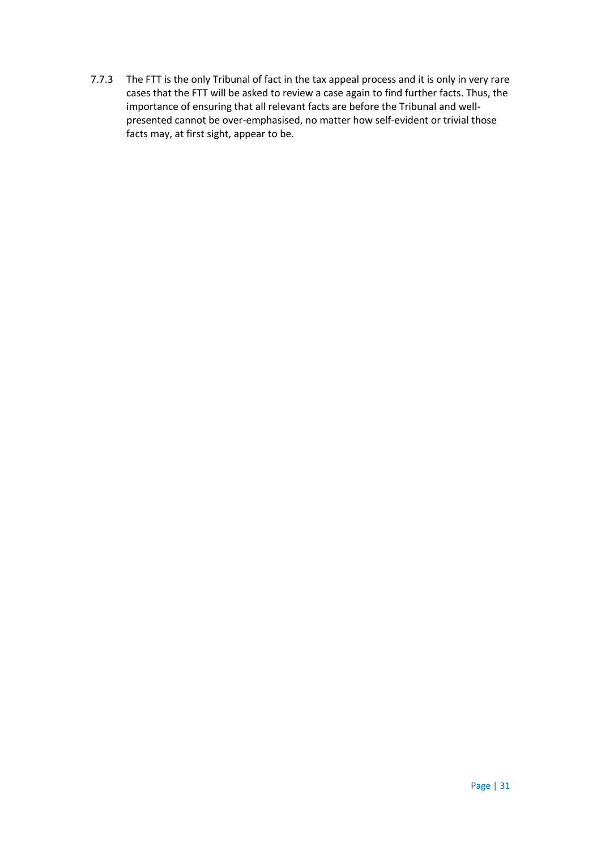7.7.3 The FTT is the only Tribunal of fact in the tax appeal process and it is only in very rare cases that the FTT will be asked to review a case again to find further facts. Thus, the importance of ensuring that all relevant facts are before the Tribunal and wellpresented cannot be over-emphasised, no matter how self-evident or trivial those facts may, at first sight, appear to be.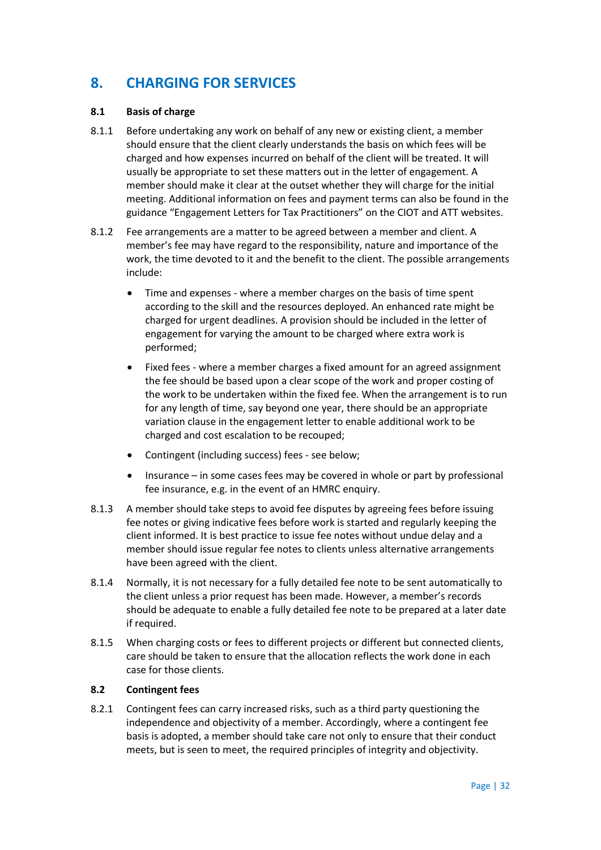# **8. CHARGING FOR SERVICES**

# **8.1 Basis of charge**

- 8.1.1 Before undertaking any work on behalf of any new or existing client, a member should ensure that the client clearly understands the basis on which fees will be charged and how expenses incurred on behalf of the client will be treated. It will usually be appropriate to set these matters out in the letter of engagement. A member should make it clear at the outset whether they will charge for the initial meeting. Additional information on fees and payment terms can also be found in the guidance "Engagement Letters for Tax Practitioners" on the CIOT and ATT websites.
- 8.1.2 Fee arrangements are a matter to be agreed between a member and client. A member's fee may have regard to the responsibility, nature and importance of the work, the time devoted to it and the benefit to the client. The possible arrangements include:
	- Time and expenses where a member charges on the basis of time spent according to the skill and the resources deployed. An enhanced rate might be charged for urgent deadlines. A provision should be included in the letter of engagement for varying the amount to be charged where extra work is performed;
	- Fixed fees where a member charges a fixed amount for an agreed assignment the fee should be based upon a clear scope of the work and proper costing of the work to be undertaken within the fixed fee. When the arrangement is to run for any length of time, say beyond one year, there should be an appropriate variation clause in the engagement letter to enable additional work to be charged and cost escalation to be recouped;
	- Contingent (including success) fees see below;
	- Insurance in some cases fees may be covered in whole or part by professional fee insurance, e.g. in the event of an HMRC enquiry.
- 8.1.3 A member should take steps to avoid fee disputes by agreeing fees before issuing fee notes or giving indicative fees before work is started and regularly keeping the client informed. It is best practice to issue fee notes without undue delay and a member should issue regular fee notes to clients unless alternative arrangements have been agreed with the client.
- 8.1.4 Normally, it is not necessary for a fully detailed fee note to be sent automatically to the client unless a prior request has been made. However, a member's records should be adequate to enable a fully detailed fee note to be prepared at a later date if required.
- 8.1.5 When charging costs or fees to different projects or different but connected clients, care should be taken to ensure that the allocation reflects the work done in each case for those clients.

#### **8.2 Contingent fees**

8.2.1 Contingent fees can carry increased risks, such as a third party questioning the independence and objectivity of a member. Accordingly, where a contingent fee basis is adopted, a member should take care not only to ensure that their conduct meets, but is seen to meet, the required principles of integrity and objectivity.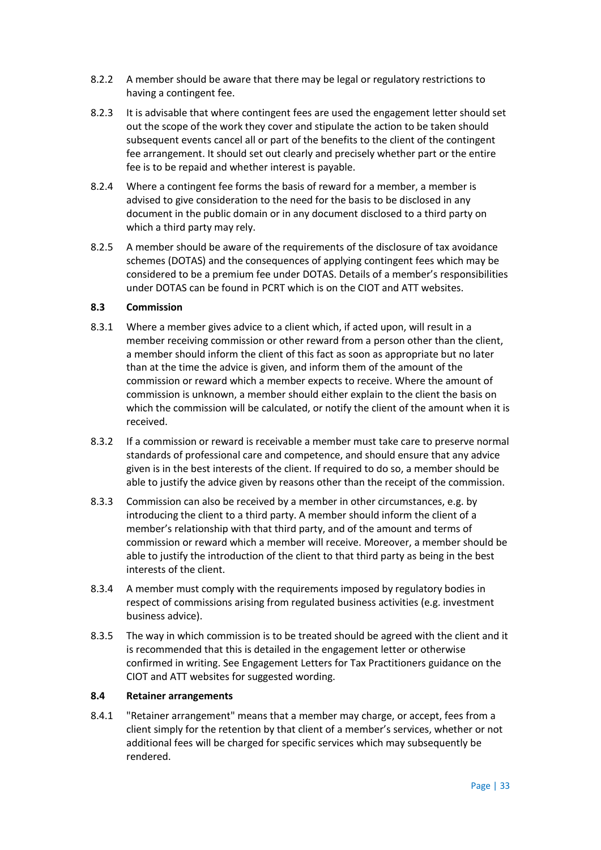- 8.2.2 A member should be aware that there may be legal or regulatory restrictions to having a contingent fee.
- 8.2.3 It is advisable that where contingent fees are used the engagement letter should set out the scope of the work they cover and stipulate the action to be taken should subsequent events cancel all or part of the benefits to the client of the contingent fee arrangement. It should set out clearly and precisely whether part or the entire fee is to be repaid and whether interest is payable.
- 8.2.4 Where a contingent fee forms the basis of reward for a member, a member is advised to give consideration to the need for the basis to be disclosed in any document in the public domain or in any document disclosed to a third party on which a third party may rely.
- 8.2.5 A member should be aware of the requirements of the disclosure of tax avoidance schemes (DOTAS) and the consequences of applying contingent fees which may be considered to be a premium fee under DOTAS. Details of a member's responsibilities under DOTAS can be found in PCRT which is on the CIOT and ATT websites.

#### **8.3 Commission**

- 8.3.1 Where a member gives advice to a client which, if acted upon, will result in a member receiving commission or other reward from a person other than the client, a member should inform the client of this fact as soon as appropriate but no later than at the time the advice is given, and inform them of the amount of the commission or reward which a member expects to receive. Where the amount of commission is unknown, a member should either explain to the client the basis on which the commission will be calculated, or notify the client of the amount when it is received.
- 8.3.2 If a commission or reward is receivable a member must take care to preserve normal standards of professional care and competence, and should ensure that any advice given is in the best interests of the client. If required to do so, a member should be able to justify the advice given by reasons other than the receipt of the commission.
- 8.3.3 Commission can also be received by a member in other circumstances, e.g. by introducing the client to a third party. A member should inform the client of a member's relationship with that third party, and of the amount and terms of commission or reward which a member will receive. Moreover, a member should be able to justify the introduction of the client to that third party as being in the best interests of the client.
- 8.3.4 A member must comply with the requirements imposed by regulatory bodies in respect of commissions arising from regulated business activities (e.g. investment business advice).
- 8.3.5 The way in which commission is to be treated should be agreed with the client and it is recommended that this is detailed in the engagement letter or otherwise confirmed in writing. See Engagement Letters for Tax Practitioners guidance on the CIOT and ATT websites for suggested wording.

#### **8.4 Retainer arrangements**

8.4.1 "Retainer arrangement" means that a member may charge, or accept, fees from a client simply for the retention by that client of a member's services, whether or not additional fees will be charged for specific services which may subsequently be rendered.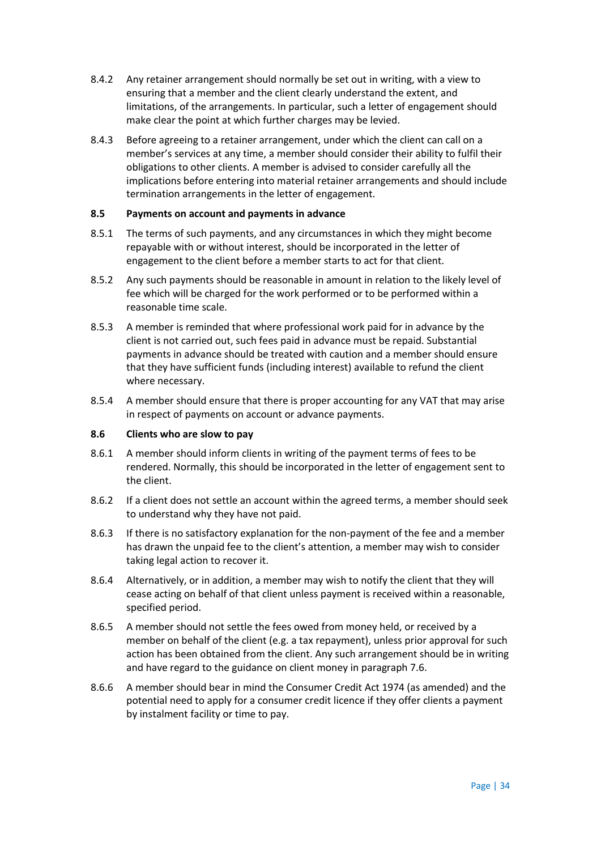- 8.4.2 Any retainer arrangement should normally be set out in writing, with a view to ensuring that a member and the client clearly understand the extent, and limitations, of the arrangements. In particular, such a letter of engagement should make clear the point at which further charges may be levied.
- 8.4.3 Before agreeing to a retainer arrangement, under which the client can call on a member's services at any time, a member should consider their ability to fulfil their obligations to other clients. A member is advised to consider carefully all the implications before entering into material retainer arrangements and should include termination arrangements in the letter of engagement.

#### **8.5 Payments on account and payments in advance**

- 8.5.1 The terms of such payments, and any circumstances in which they might become repayable with or without interest, should be incorporated in the letter of engagement to the client before a member starts to act for that client.
- 8.5.2 Any such payments should be reasonable in amount in relation to the likely level of fee which will be charged for the work performed or to be performed within a reasonable time scale.
- 8.5.3 A member is reminded that where professional work paid for in advance by the client is not carried out, such fees paid in advance must be repaid. Substantial payments in advance should be treated with caution and a member should ensure that they have sufficient funds (including interest) available to refund the client where necessary.
- 8.5.4 A member should ensure that there is proper accounting for any VAT that may arise in respect of payments on account or advance payments.

#### **8.6 Clients who are slow to pay**

- 8.6.1 A member should inform clients in writing of the payment terms of fees to be rendered. Normally, this should be incorporated in the letter of engagement sent to the client.
- 8.6.2 If a client does not settle an account within the agreed terms, a member should seek to understand why they have not paid.
- 8.6.3 If there is no satisfactory explanation for the non-payment of the fee and a member has drawn the unpaid fee to the client's attention, a member may wish to consider taking legal action to recover it.
- 8.6.4 Alternatively, or in addition, a member may wish to notify the client that they will cease acting on behalf of that client unless payment is received within a reasonable, specified period.
- 8.6.5 A member should not settle the fees owed from money held, or received by a member on behalf of the client (e.g. a tax repayment), unless prior approval for such action has been obtained from the client. Any such arrangement should be in writing and have regard to the guidance on client money in paragraph 7.6.
- 8.6.6 A member should bear in mind the Consumer Credit Act 1974 (as amended) and the potential need to apply for a consumer credit licence if they offer clients a payment by instalment facility or time to pay.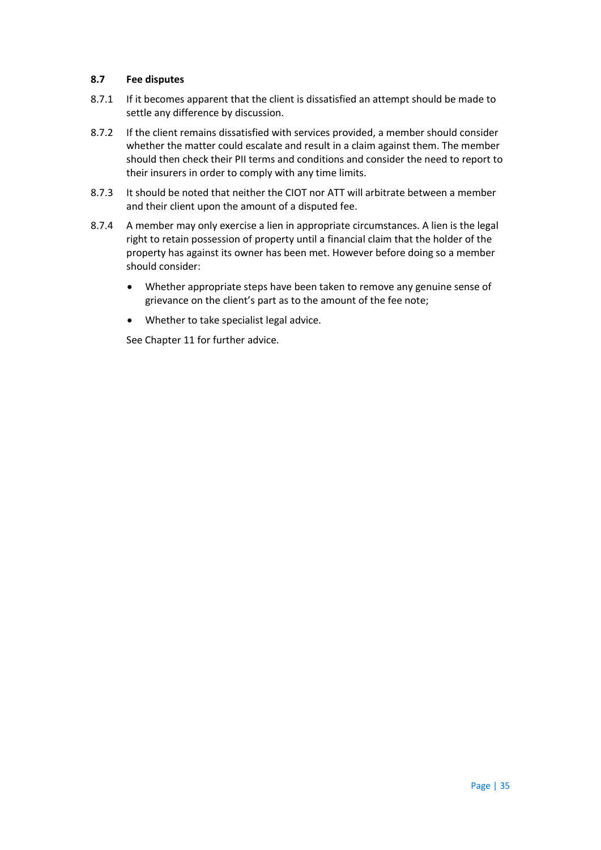# **8.7 Fee disputes**

- 8.7.1 If it becomes apparent that the client is dissatisfied an attempt should be made to settle any difference by discussion.
- 8.7.2 If the client remains dissatisfied with services provided, a member should consider whether the matter could escalate and result in a claim against them. The member should then check their PII terms and conditions and consider the need to report to their insurers in order to comply with any time limits.
- 8.7.3 It should be noted that neither the CIOT nor ATT will arbitrate between a member and their client upon the amount of a disputed fee.
- 8.7.4 A member may only exercise a lien in appropriate circumstances. A lien is the legal right to retain possession of property until a financial claim that the holder of the property has against its owner has been met. However before doing so a member should consider:
	- Whether appropriate steps have been taken to remove any genuine sense of grievance on the client's part as to the amount of the fee note;
	- Whether to take specialist legal advice.

See Chapter 11 for further advice.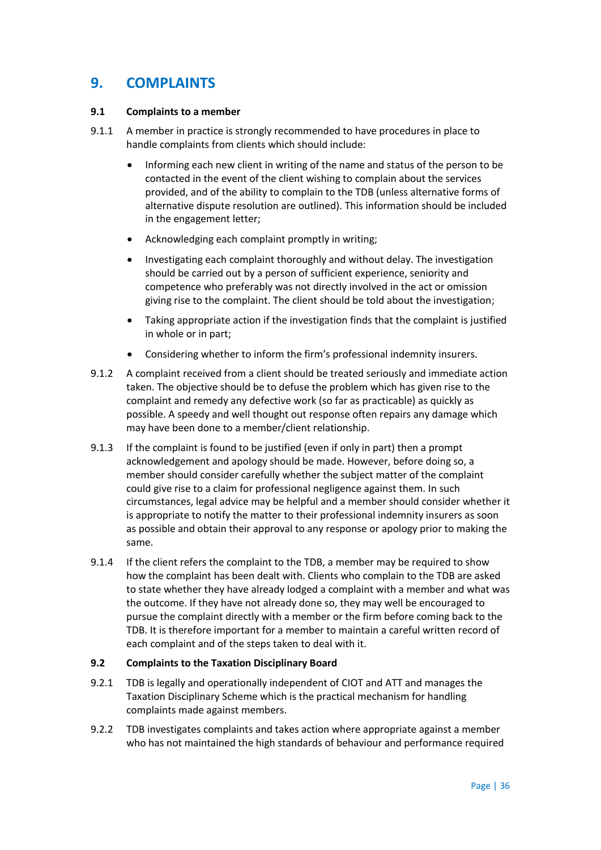# **9. COMPLAINTS**

### **9.1 Complaints to a member**

- 9.1.1 A member in practice is strongly recommended to have procedures in place to handle complaints from clients which should include:
	- Informing each new client in writing of the name and status of the person to be contacted in the event of the client wishing to complain about the services provided, and of the ability to complain to the TDB (unless alternative forms of alternative dispute resolution are outlined). This information should be included in the engagement letter;
	- Acknowledging each complaint promptly in writing;
	- Investigating each complaint thoroughly and without delay. The investigation should be carried out by a person of sufficient experience, seniority and competence who preferably was not directly involved in the act or omission giving rise to the complaint. The client should be told about the investigation;
	- Taking appropriate action if the investigation finds that the complaint is justified in whole or in part;
	- Considering whether to inform the firm's professional indemnity insurers.
- 9.1.2 A complaint received from a client should be treated seriously and immediate action taken. The objective should be to defuse the problem which has given rise to the complaint and remedy any defective work (so far as practicable) as quickly as possible. A speedy and well thought out response often repairs any damage which may have been done to a member/client relationship.
- 9.1.3 If the complaint is found to be justified (even if only in part) then a prompt acknowledgement and apology should be made. However, before doing so, a member should consider carefully whether the subject matter of the complaint could give rise to a claim for professional negligence against them. In such circumstances, legal advice may be helpful and a member should consider whether it is appropriate to notify the matter to their professional indemnity insurers as soon as possible and obtain their approval to any response or apology prior to making the same.
- 9.1.4 If the client refers the complaint to the TDB, a member may be required to show how the complaint has been dealt with. Clients who complain to the TDB are asked to state whether they have already lodged a complaint with a member and what was the outcome. If they have not already done so, they may well be encouraged to pursue the complaint directly with a member or the firm before coming back to the TDB. It is therefore important for a member to maintain a careful written record of each complaint and of the steps taken to deal with it.

#### **9.2 Complaints to the Taxation Disciplinary Board**

- 9.2.1 TDB is legally and operationally independent of CIOT and ATT and manages the Taxation Disciplinary Scheme which is the practical mechanism for handling complaints made against members.
- 9.2.2 TDB investigates complaints and takes action where appropriate against a member who has not maintained the high standards of behaviour and performance required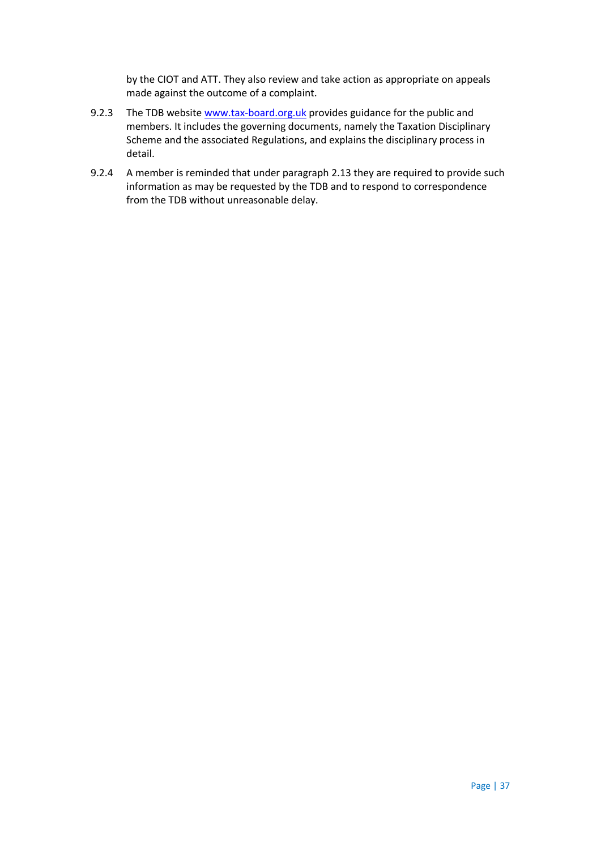by the CIOT and ATT. They also review and take action as appropriate on appeals made against the outcome of a complaint.

- 9.2.3 The TDB websit[e www.tax-board.org.uk](http://www.tax-board.org.uk/) provides guidance for the public and members. It includes the governing documents, namely the Taxation Disciplinary Scheme and the associated Regulations, and explains the disciplinary process in detail.
- 9.2.4 A member is reminded that under paragraph 2.13 they are required to provide such information as may be requested by the TDB and to respond to correspondence from the TDB without unreasonable delay.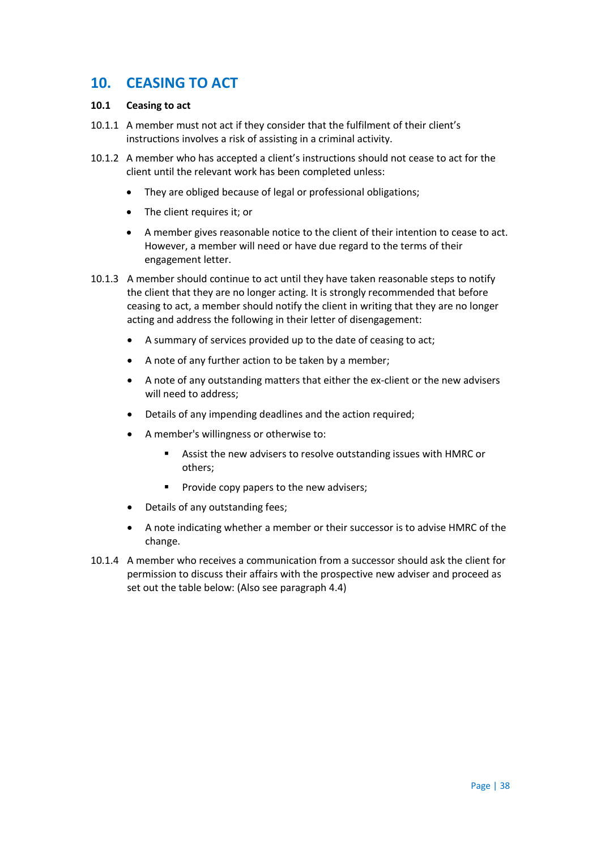# **10. CEASING TO ACT**

# **10.1 Ceasing to act**

- 10.1.1 A member must not act if they consider that the fulfilment of their client's instructions involves a risk of assisting in a criminal activity.
- 10.1.2 A member who has accepted a client's instructions should not cease to act for the client until the relevant work has been completed unless:
	- They are obliged because of legal or professional obligations;
	- The client requires it; or
	- A member gives reasonable notice to the client of their intention to cease to act. However, a member will need or have due regard to the terms of their engagement letter.
- 10.1.3 A member should continue to act until they have taken reasonable steps to notify the client that they are no longer acting. It is strongly recommended that before ceasing to act, a member should notify the client in writing that they are no longer acting and address the following in their letter of disengagement:
	- A summary of services provided up to the date of ceasing to act;
	- A note of any further action to be taken by a member;
	- A note of any outstanding matters that either the ex-client or the new advisers will need to address;
	- Details of any impending deadlines and the action required;
	- A member's willingness or otherwise to:
		- Assist the new advisers to resolve outstanding issues with HMRC or others;
		- **Provide copy papers to the new advisers;**
	- Details of any outstanding fees;
	- A note indicating whether a member or their successor is to advise HMRC of the change.
- 10.1.4 A member who receives a communication from a successor should ask the client for permission to discuss their affairs with the prospective new adviser and proceed as set out the table below: (Also see paragraph 4.4)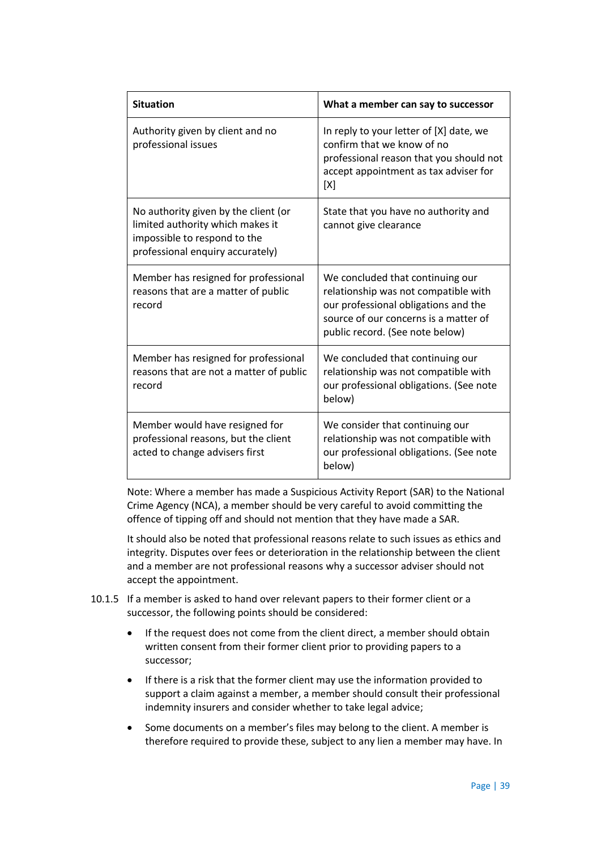| <b>Situation</b>                                                                                                                             | What a member can say to successor                                                                                                                                                           |  |
|----------------------------------------------------------------------------------------------------------------------------------------------|----------------------------------------------------------------------------------------------------------------------------------------------------------------------------------------------|--|
| Authority given by client and no<br>professional issues                                                                                      | In reply to your letter of [X] date, we<br>confirm that we know of no<br>professional reason that you should not<br>accept appointment as tax adviser for<br>[X]                             |  |
| No authority given by the client (or<br>limited authority which makes it<br>impossible to respond to the<br>professional enquiry accurately) | State that you have no authority and<br>cannot give clearance                                                                                                                                |  |
| Member has resigned for professional<br>reasons that are a matter of public<br>record                                                        | We concluded that continuing our<br>relationship was not compatible with<br>our professional obligations and the<br>source of our concerns is a matter of<br>public record. (See note below) |  |
| Member has resigned for professional<br>reasons that are not a matter of public<br>record                                                    | We concluded that continuing our<br>relationship was not compatible with<br>our professional obligations. (See note<br>below)                                                                |  |
| Member would have resigned for<br>professional reasons, but the client<br>acted to change advisers first                                     | We consider that continuing our<br>relationship was not compatible with<br>our professional obligations. (See note<br>below)                                                                 |  |

Note: Where a member has made a Suspicious Activity Report (SAR) to the National Crime Agency (NCA), a member should be very careful to avoid committing the offence of tipping off and should not mention that they have made a SAR.

It should also be noted that professional reasons relate to such issues as ethics and integrity. Disputes over fees or deterioration in the relationship between the client and a member are not professional reasons why a successor adviser should not accept the appointment.

- 10.1.5 If a member is asked to hand over relevant papers to their former client or a successor, the following points should be considered:
	- If the request does not come from the client direct, a member should obtain written consent from their former client prior to providing papers to a successor;
	- If there is a risk that the former client may use the information provided to support a claim against a member, a member should consult their professional indemnity insurers and consider whether to take legal advice;
	- Some documents on a member's files may belong to the client. A member is therefore required to provide these, subject to any lien a member may have. In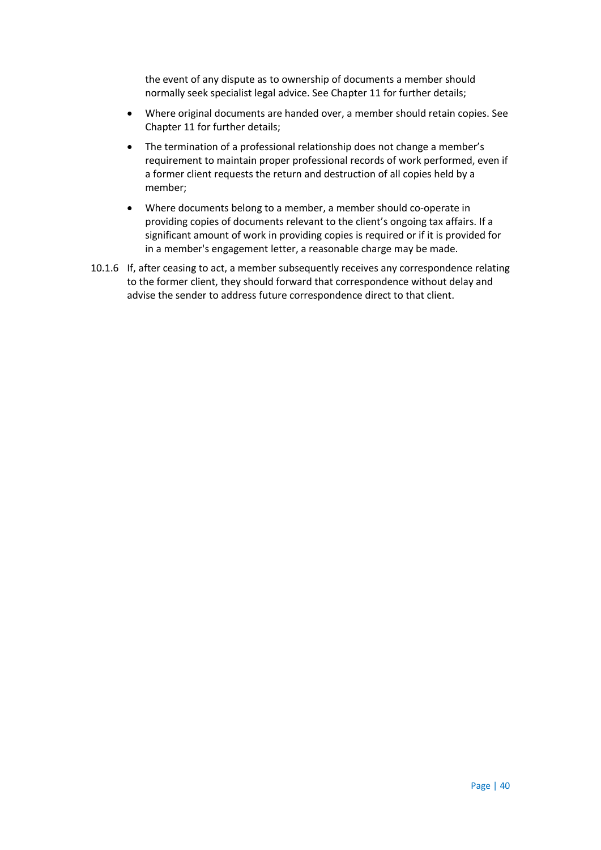the event of any dispute as to ownership of documents a member should normally seek specialist legal advice. See Chapter 11 for further details;

- Where original documents are handed over, a member should retain copies. See Chapter 11 for further details;
- The termination of a professional relationship does not change a member's requirement to maintain proper professional records of work performed, even if a former client requests the return and destruction of all copies held by a member;
- Where documents belong to a member, a member should co-operate in providing copies of documents relevant to the client's ongoing tax affairs. If a significant amount of work in providing copies is required or if it is provided for in a member's engagement letter, a reasonable charge may be made.
- 10.1.6 If, after ceasing to act, a member subsequently receives any correspondence relating to the former client, they should forward that correspondence without delay and advise the sender to address future correspondence direct to that client.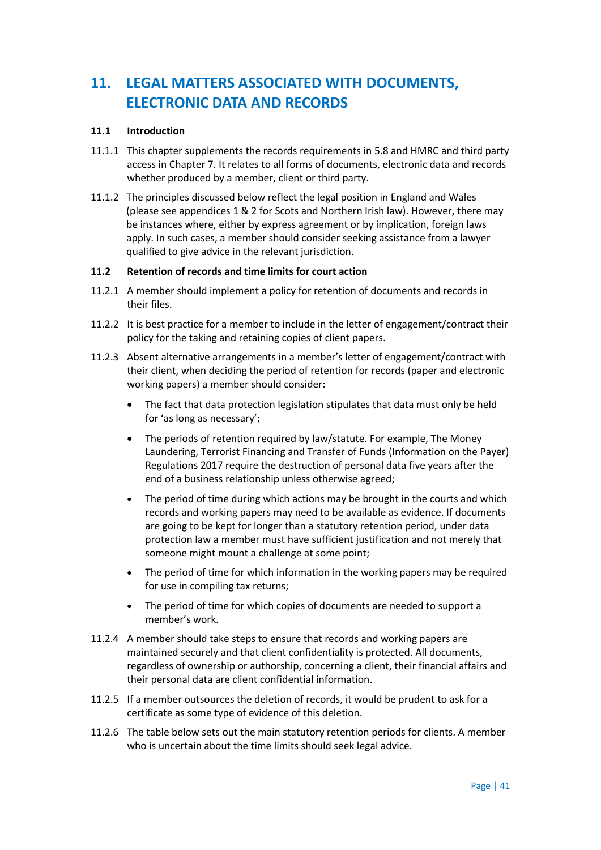# **11. LEGAL MATTERS ASSOCIATED WITH DOCUMENTS, ELECTRONIC DATA AND RECORDS**

### **11.1 Introduction**

- 11.1.1 This chapter supplements the records requirements in 5.8 and HMRC and third party access in Chapter 7. It relates to all forms of documents, electronic data and records whether produced by a member, client or third party.
- 11.1.2 The principles discussed below reflect the legal position in England and Wales (please see appendices 1 & 2 for Scots and Northern Irish law). However, there may be instances where, either by express agreement or by implication, foreign laws apply. In such cases, a member should consider seeking assistance from a lawyer qualified to give advice in the relevant jurisdiction.

# **11.2 Retention of records and time limits for court action**

- 11.2.1 A member should implement a policy for retention of documents and records in their files.
- 11.2.2 It is best practice for a member to include in the letter of engagement/contract their policy for the taking and retaining copies of client papers.
- 11.2.3 Absent alternative arrangements in a member's letter of engagement/contract with their client, when deciding the period of retention for records (paper and electronic working papers) a member should consider:
	- The fact that data protection legislation stipulates that data must only be held for 'as long as necessary';
	- The periods of retention required by law/statute. For example, The Money Laundering, Terrorist Financing and Transfer of Funds (Information on the Payer) Regulations 2017 require the destruction of personal data five years after the end of a business relationship unless otherwise agreed;
	- The period of time during which actions may be brought in the courts and which records and working papers may need to be available as evidence. If documents are going to be kept for longer than a statutory retention period, under data protection law a member must have sufficient justification and not merely that someone might mount a challenge at some point;
	- The period of time for which information in the working papers may be required for use in compiling tax returns;
	- The period of time for which copies of documents are needed to support a member's work.
- 11.2.4 A member should take steps to ensure that records and working papers are maintained securely and that client confidentiality is protected. All documents, regardless of ownership or authorship, concerning a client, their financial affairs and their personal data are client confidential information.
- 11.2.5 If a member outsources the deletion of records, it would be prudent to ask for a certificate as some type of evidence of this deletion.
- 11.2.6 The table below sets out the main statutory retention periods for clients. A member who is uncertain about the time limits should seek legal advice.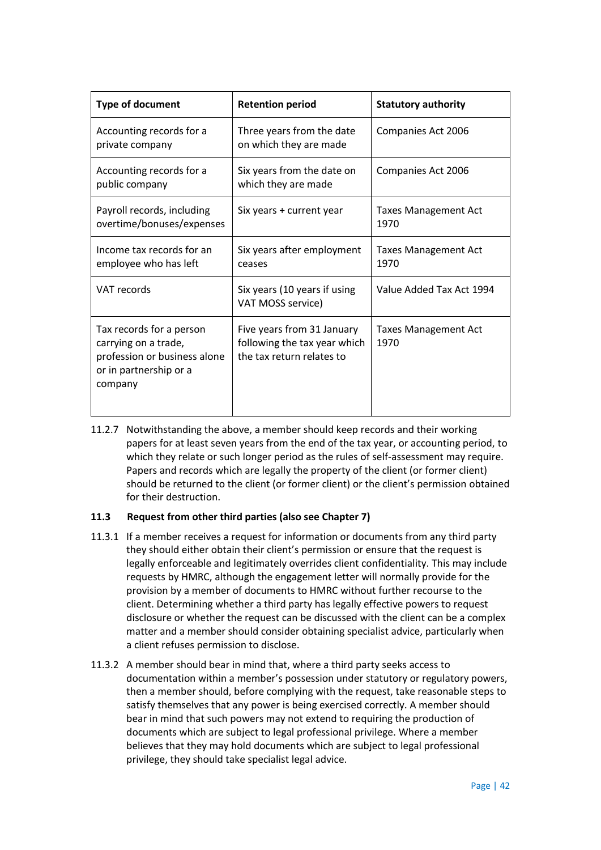| <b>Type of document</b>                                                                                               | <b>Retention period</b>                                                                 | <b>Statutory authority</b>          |
|-----------------------------------------------------------------------------------------------------------------------|-----------------------------------------------------------------------------------------|-------------------------------------|
| Accounting records for a<br>private company                                                                           | Three years from the date<br>on which they are made                                     | Companies Act 2006                  |
| Accounting records for a<br>public company                                                                            | Six years from the date on<br>which they are made                                       | Companies Act 2006                  |
| Payroll records, including<br>overtime/bonuses/expenses                                                               | Six years + current year                                                                | <b>Taxes Management Act</b><br>1970 |
| Income tax records for an<br>employee who has left                                                                    | Six years after employment<br>ceases                                                    | <b>Taxes Management Act</b><br>1970 |
| <b>VAT records</b>                                                                                                    | Six years (10 years if using<br>VAT MOSS service)                                       | Value Added Tax Act 1994            |
| Tax records for a person<br>carrying on a trade,<br>profession or business alone<br>or in partnership or a<br>company | Five years from 31 January<br>following the tax year which<br>the tax return relates to | <b>Taxes Management Act</b><br>1970 |

11.2.7 Notwithstanding the above, a member should keep records and their working papers for at least seven years from the end of the tax year, or accounting period, to which they relate or such longer period as the rules of self-assessment may require. Papers and records which are legally the property of the client (or former client) should be returned to the client (or former client) or the client's permission obtained for their destruction.

# **11.3 Request from other third parties (also see Chapter 7)**

- 11.3.1 If a member receives a request for information or documents from any third party they should either obtain their client's permission or ensure that the request is legally enforceable and legitimately overrides client confidentiality. This may include requests by HMRC, although the engagement letter will normally provide for the provision by a member of documents to HMRC without further recourse to the client. Determining whether a third party has legally effective powers to request disclosure or whether the request can be discussed with the client can be a complex matter and a member should consider obtaining specialist advice, particularly when a client refuses permission to disclose.
- 11.3.2 A member should bear in mind that, where a third party seeks access to documentation within a member's possession under statutory or regulatory powers, then a member should, before complying with the request, take reasonable steps to satisfy themselves that any power is being exercised correctly. A member should bear in mind that such powers may not extend to requiring the production of documents which are subject to legal professional privilege. Where a member believes that they may hold documents which are subject to legal professional privilege, they should take specialist legal advice.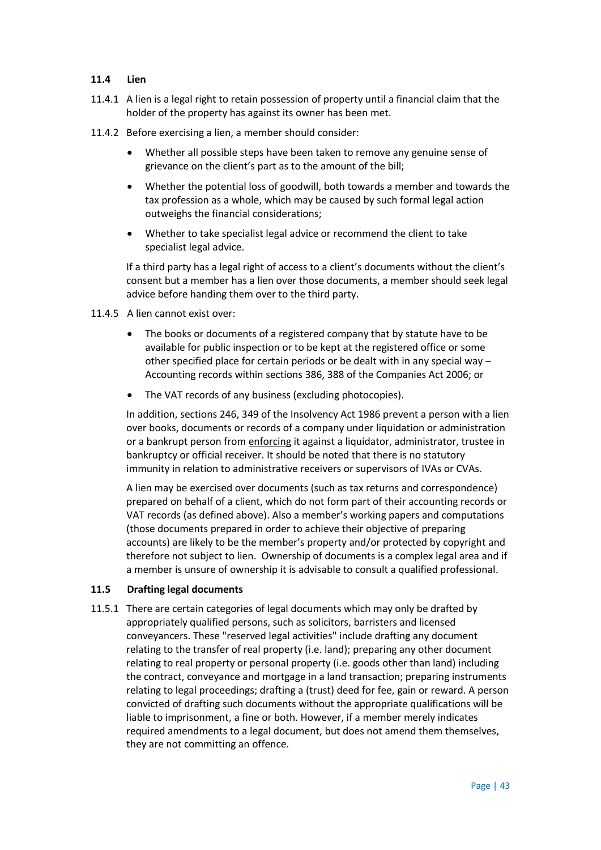#### **11.4 Lien**

- 11.4.1 A lien is a legal right to retain possession of property until a financial claim that the holder of the property has against its owner has been met.
- 11.4.2 Before exercising a lien, a member should consider:
	- Whether all possible steps have been taken to remove any genuine sense of grievance on the client's part as to the amount of the bill;
	- Whether the potential loss of goodwill, both towards a member and towards the tax profession as a whole, which may be caused by such formal legal action outweighs the financial considerations;
	- Whether to take specialist legal advice or recommend the client to take specialist legal advice.

If a third party has a legal right of access to a client's documents without the client's consent but a member has a lien over those documents, a member should seek legal advice before handing them over to the third party.

- 11.4.5 A lien cannot exist over:
	- The books or documents of a registered company that by statute have to be available for public inspection or to be kept at the registered office or some other specified place for certain periods or be dealt with in any special way – Accounting records within sections 386, 388 of the Companies Act 2006; or
	- The VAT records of any business (excluding photocopies).

In addition, sections 246, 349 of the Insolvency Act 1986 prevent a person with a lien over books, documents or records of a company under liquidation or administration or a bankrupt person from enforcing it against a liquidator, administrator, trustee in bankruptcy or official receiver. It should be noted that there is no statutory immunity in relation to administrative receivers or supervisors of IVAs or CVAs.

A lien may be exercised over documents (such as tax returns and correspondence) prepared on behalf of a client, which do not form part of their accounting records or VAT records (as defined above). Also a member's working papers and computations (those documents prepared in order to achieve their objective of preparing accounts) are likely to be the member's property and/or protected by copyright and therefore not subject to lien. Ownership of documents is a complex legal area and if a member is unsure of ownership it is advisable to consult a qualified professional.

#### **11.5 Drafting legal documents**

11.5.1 There are certain categories of legal documents which may only be drafted by appropriately qualified persons, such as solicitors, barristers and licensed conveyancers. These "reserved legal activities" include drafting any document relating to the transfer of real property (i.e. land); preparing any other document relating to real property or personal property (i.e. goods other than land) including the contract, conveyance and mortgage in a land transaction; preparing instruments relating to legal proceedings; drafting a (trust) deed for fee, gain or reward. A person convicted of drafting such documents without the appropriate qualifications will be liable to imprisonment, a fine or both. However, if a member merely indicates required amendments to a legal document, but does not amend them themselves, they are not committing an offence.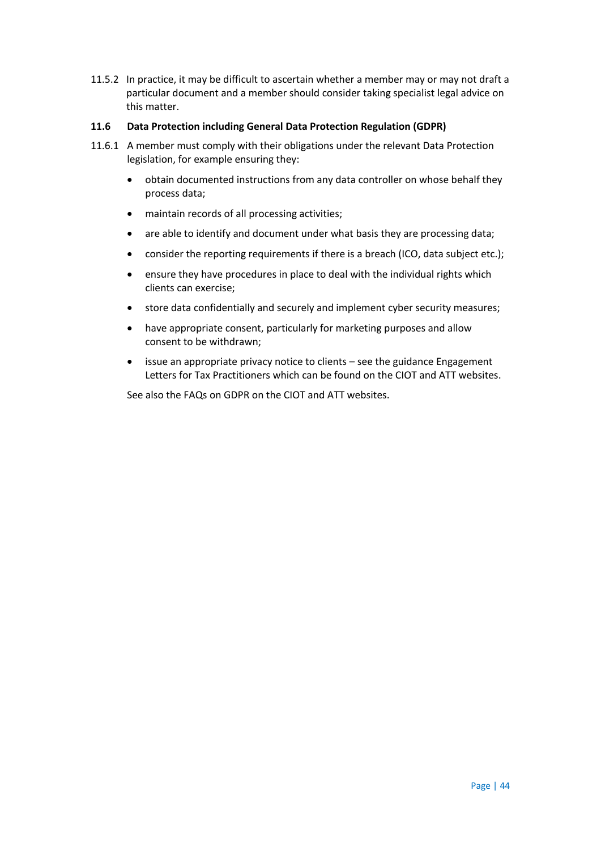11.5.2 In practice, it may be difficult to ascertain whether a member may or may not draft a particular document and a member should consider taking specialist legal advice on this matter.

# **11.6 Data Protection including General Data Protection Regulation (GDPR)**

- 11.6.1 A member must comply with their obligations under the relevant Data Protection legislation, for example ensuring they:
	- obtain documented instructions from any data controller on whose behalf they process data;
	- maintain records of all processing activities;
	- are able to identify and document under what basis they are processing data;
	- consider the reporting requirements if there is a breach (ICO, data subject etc.);
	- ensure they have procedures in place to deal with the individual rights which clients can exercise;
	- store data confidentially and securely and implement cyber security measures;
	- have appropriate consent, particularly for marketing purposes and allow consent to be withdrawn;
	- issue an appropriate privacy notice to clients see the guidance Engagement Letters for Tax Practitioners which can be found on the CIOT and ATT websites.

See also the FAQs on GDPR on the CIOT and ATT websites.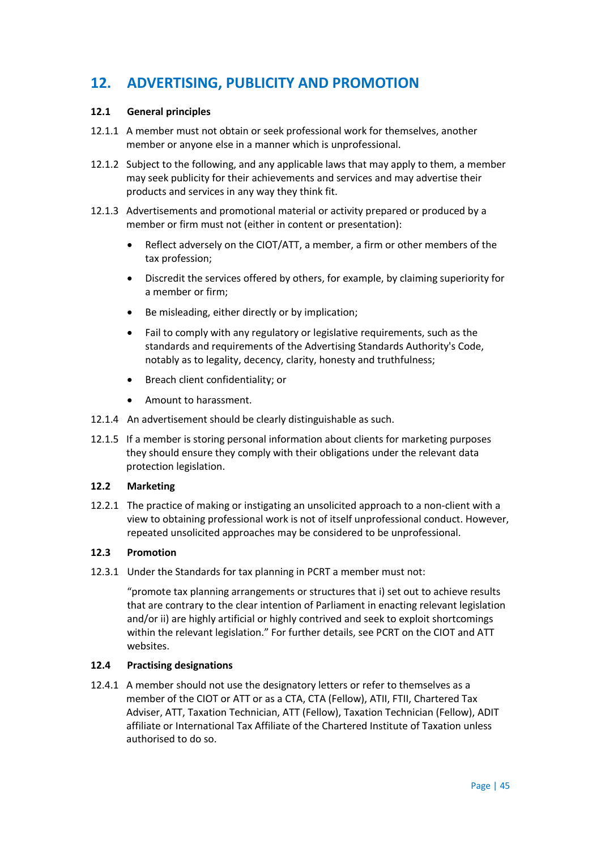# **12. ADVERTISING, PUBLICITY AND PROMOTION**

# **12.1 General principles**

- 12.1.1 A member must not obtain or seek professional work for themselves, another member or anyone else in a manner which is unprofessional.
- 12.1.2 Subject to the following, and any applicable laws that may apply to them, a member may seek publicity for their achievements and services and may advertise their products and services in any way they think fit.
- 12.1.3 Advertisements and promotional material or activity prepared or produced by a member or firm must not (either in content or presentation):
	- Reflect adversely on the CIOT/ATT, a member, a firm or other members of the tax profession;
	- Discredit the services offered by others, for example, by claiming superiority for a member or firm;
	- Be misleading, either directly or by implication;
	- Fail to comply with any regulatory or legislative requirements, such as the standards and requirements of the Advertising Standards Authority's Code, notably as to legality, decency, clarity, honesty and truthfulness;
	- Breach client confidentiality; or
	- Amount to harassment.
- 12.1.4 An advertisement should be clearly distinguishable as such.
- 12.1.5 If a member is storing personal information about clients for marketing purposes they should ensure they comply with their obligations under the relevant data protection legislation.

#### **12.2 Marketing**

12.2.1 The practice of making or instigating an unsolicited approach to a non-client with a view to obtaining professional work is not of itself unprofessional conduct. However, repeated unsolicited approaches may be considered to be unprofessional.

# **12.3 Promotion**

12.3.1 Under the Standards for tax planning in PCRT a member must not:

"promote tax planning arrangements or structures that i) set out to achieve results that are contrary to the clear intention of Parliament in enacting relevant legislation and/or ii) are highly artificial or highly contrived and seek to exploit shortcomings within the relevant legislation." For further details, see PCRT on the CIOT and ATT websites.

# **12.4 Practising designations**

12.4.1 A member should not use the designatory letters or refer to themselves as a member of the CIOT or ATT or as a CTA, CTA (Fellow), ATII, FTII, Chartered Tax Adviser, ATT, Taxation Technician, ATT (Fellow), Taxation Technician (Fellow), ADIT affiliate or International Tax Affiliate of the Chartered Institute of Taxation unless authorised to do so.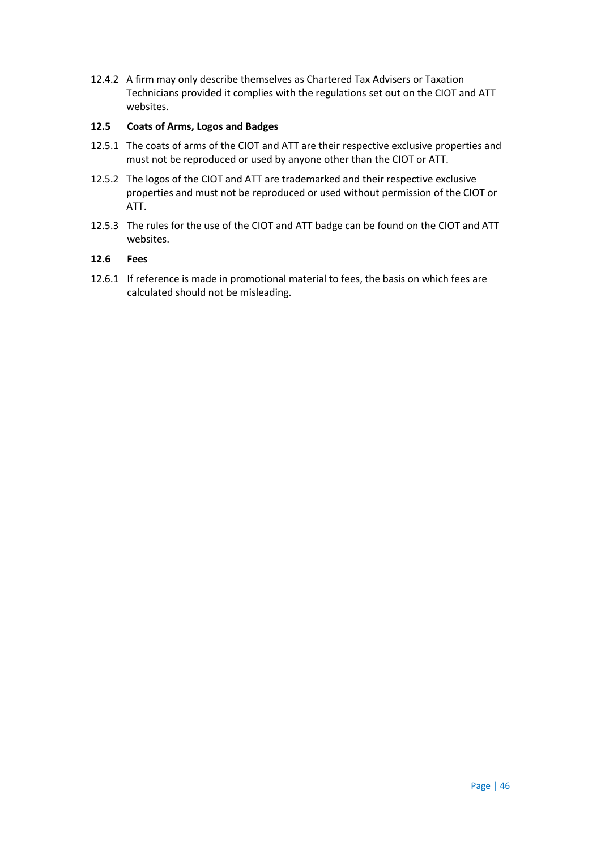12.4.2 A firm may only describe themselves as Chartered Tax Advisers or Taxation Technicians provided it complies with the regulations set out on the CIOT and ATT websites.

#### **12.5 Coats of Arms, Logos and Badges**

- 12.5.1 The coats of arms of the CIOT and ATT are their respective exclusive properties and must not be reproduced or used by anyone other than the CIOT or ATT.
- 12.5.2 The logos of the CIOT and ATT are trademarked and their respective exclusive properties and must not be reproduced or used without permission of the CIOT or ATT.
- 12.5.3 The rules for the use of the CIOT and ATT badge can be found on the CIOT and ATT websites.

#### **12.6 Fees**

12.6.1 If reference is made in promotional material to fees, the basis on which fees are calculated should not be misleading.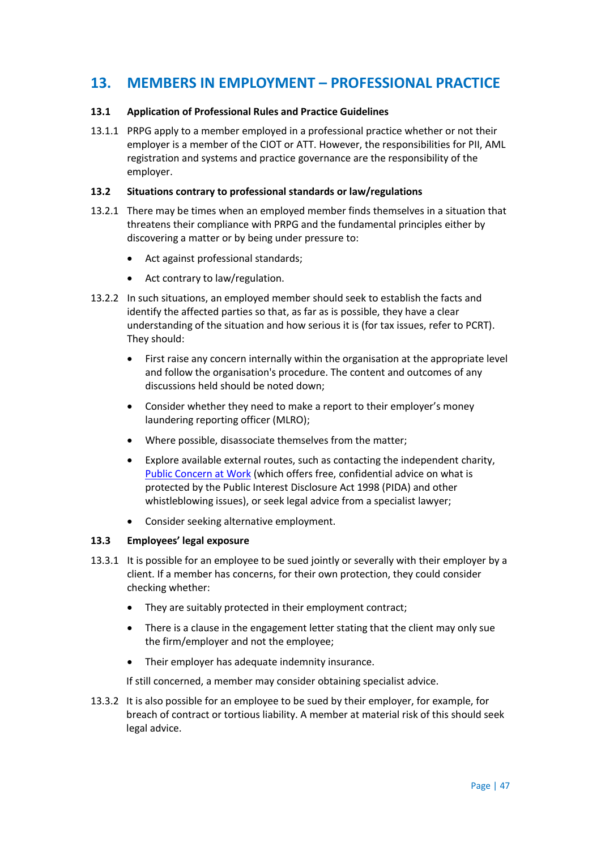# **13. MEMBERS IN EMPLOYMENT – PROFESSIONAL PRACTICE**

# **13.1 Application of Professional Rules and Practice Guidelines**

13.1.1 PRPG apply to a member employed in a professional practice whether or not their employer is a member of the CIOT or ATT. However, the responsibilities for PII, AML registration and systems and practice governance are the responsibility of the employer.

### **13.2 Situations contrary to professional standards or law/regulations**

- 13.2.1 There may be times when an employed member finds themselves in a situation that threatens their compliance with PRPG and the fundamental principles either by discovering a matter or by being under pressure to:
	- Act against professional standards;
	- Act contrary to law/regulation.
- 13.2.2 In such situations, an employed member should seek to establish the facts and identify the affected parties so that, as far as is possible, they have a clear understanding of the situation and how serious it is (for tax issues, refer to PCRT). They should:
	- First raise any concern internally within the organisation at the appropriate level and follow the organisation's procedure. The content and outcomes of any discussions held should be noted down;
	- Consider whether they need to make a report to their employer's money laundering reporting officer (MLRO);
	- Where possible, disassociate themselves from the matter;
	- Explore available external routes, such as contacting the independent charity, [Public Concern at Work](http://www.pcaw.co.uk/) (which offers free, confidential advice on what is protected by the Public Interest Disclosure Act 1998 (PIDA) and other whistleblowing issues), or seek legal advice from a specialist lawyer;
	- Consider seeking alternative employment.

#### **13.3 Employees' legal exposure**

- 13.3.1 It is possible for an employee to be sued jointly or severally with their employer by a client. If a member has concerns, for their own protection, they could consider checking whether:
	- They are suitably protected in their employment contract;
	- There is a clause in the engagement letter stating that the client may only sue the firm/employer and not the employee;
	- Their employer has adequate indemnity insurance.

If still concerned, a member may consider obtaining specialist advice.

13.3.2 It is also possible for an employee to be sued by their employer, for example, for breach of contract or tortious liability. A member at material risk of this should seek legal advice.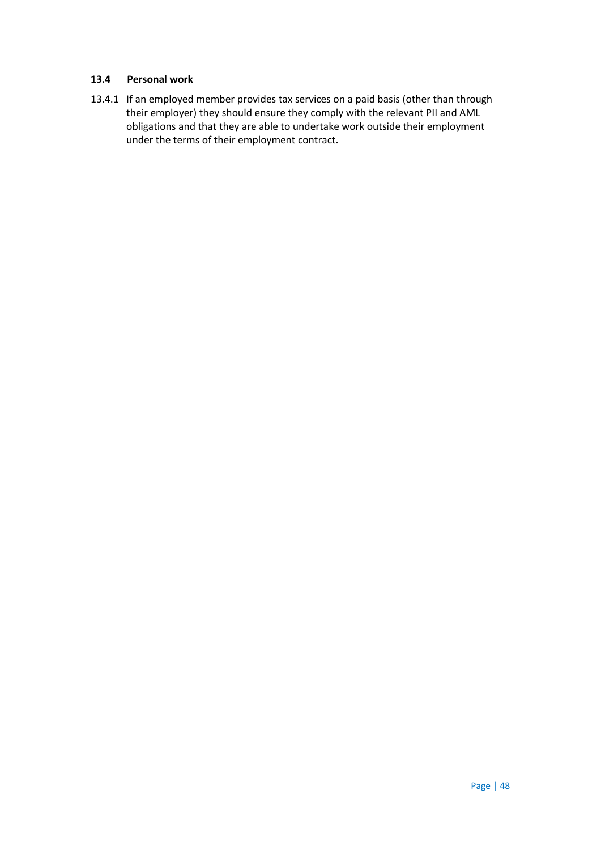#### **13.4 Personal work**

13.4.1 If an employed member provides tax services on a paid basis (other than through their employer) they should ensure they comply with the relevant PII and AML obligations and that they are able to undertake work outside their employment under the terms of their employment contract.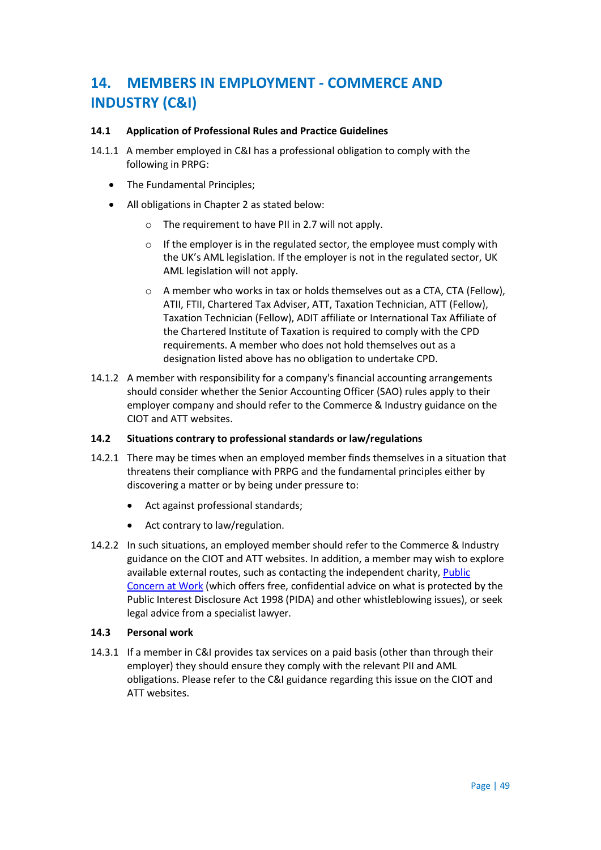# **14. MEMBERS IN EMPLOYMENT - COMMERCE AND INDUSTRY (C&I)**

### **14.1 Application of Professional Rules and Practice Guidelines**

- 14.1.1 A member employed in C&I has a professional obligation to comply with the following in PRPG:
	- The Fundamental Principles;
	- All obligations in Chapter 2 as stated below:
		- o The requirement to have PII in 2.7 will not apply.
		- o If the employer is in the regulated sector, the employee must comply with the UK's AML legislation. If the employer is not in the regulated sector, UK AML legislation will not apply.
		- o A member who works in tax or holds themselves out as a CTA, CTA (Fellow), ATII, FTII, Chartered Tax Adviser, ATT, Taxation Technician, ATT (Fellow), Taxation Technician (Fellow), ADIT affiliate or International Tax Affiliate of the Chartered Institute of Taxation is required to comply with the CPD requirements. A member who does not hold themselves out as a designation listed above has no obligation to undertake CPD.
- 14.1.2 A member with responsibility for a company's financial accounting arrangements should consider whether the Senior Accounting Officer (SAO) rules apply to their employer company and should refer to the Commerce & Industry guidance on the CIOT and ATT websites.

#### **14.2 Situations contrary to professional standards or law/regulations**

- 14.2.1 There may be times when an employed member finds themselves in a situation that threatens their compliance with PRPG and the fundamental principles either by discovering a matter or by being under pressure to:
	- Act against professional standards;
	- Act contrary to law/regulation.
- 14.2.2 In such situations, an employed member should refer to the Commerce & Industry guidance on the CIOT and ATT websites. In addition, a member may wish to explore available external routes, such as contacting the independent charity, [Public](http://www.pcaw.co.uk/)  [Concern at Work](http://www.pcaw.co.uk/) (which offers free, confidential advice on what is protected by the Public Interest Disclosure Act 1998 (PIDA) and other whistleblowing issues), or seek legal advice from a specialist lawyer.

#### **14.3 Personal work**

14.3.1 If a member in C&I provides tax services on a paid basis (other than through their employer) they should ensure they comply with the relevant PII and AML obligations. Please refer to the C&I guidance regarding this issue on the CIOT and ATT websites.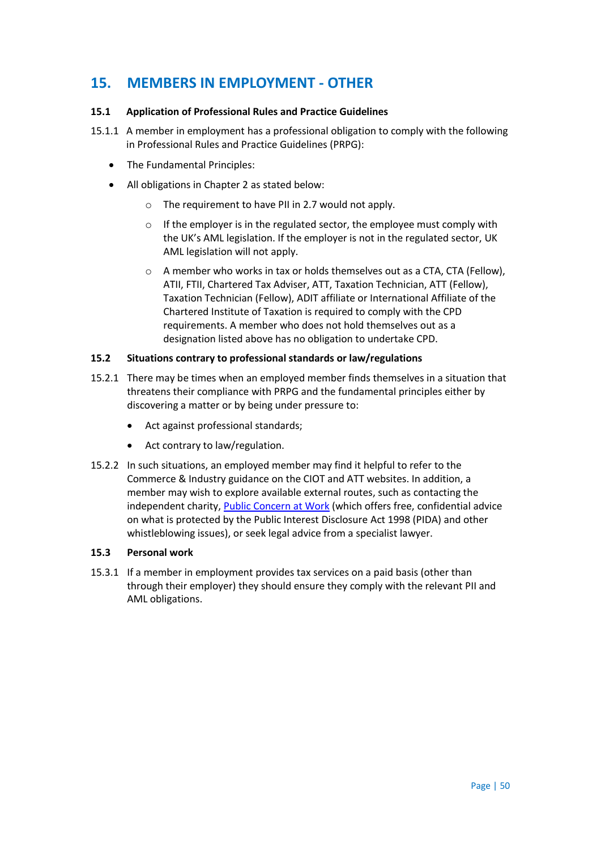# **15. MEMBERS IN EMPLOYMENT - OTHER**

# **15.1 Application of Professional Rules and Practice Guidelines**

- 15.1.1 A member in employment has a professional obligation to comply with the following in Professional Rules and Practice Guidelines (PRPG):
	- The Fundamental Principles:
	- All obligations in Chapter 2 as stated below:
		- o The requirement to have PII in 2.7 would not apply.
		- o If the employer is in the regulated sector, the employee must comply with the UK's AML legislation. If the employer is not in the regulated sector, UK AML legislation will not apply.
		- o A member who works in tax or holds themselves out as a CTA, CTA (Fellow), ATII, FTII, Chartered Tax Adviser, ATT, Taxation Technician, ATT (Fellow), Taxation Technician (Fellow), ADIT affiliate or International Affiliate of the Chartered Institute of Taxation is required to comply with the CPD requirements. A member who does not hold themselves out as a designation listed above has no obligation to undertake CPD.

# **15.2 Situations contrary to professional standards or law/regulations**

- 15.2.1 There may be times when an employed member finds themselves in a situation that threatens their compliance with PRPG and the fundamental principles either by discovering a matter or by being under pressure to:
	- Act against professional standards;
	- Act contrary to law/regulation.
- 15.2.2 In such situations, an employed member may find it helpful to refer to the Commerce & Industry guidance on the CIOT and ATT websites. In addition, a member may wish to explore available external routes, such as contacting the independent charity[, Public Concern at Work](http://www.pcaw.co.uk/) (which offers free, confidential advice on what is protected by the Public Interest Disclosure Act 1998 (PIDA) and other whistleblowing issues), or seek legal advice from a specialist lawyer.

#### **15.3 Personal work**

15.3.1 If a member in employment provides tax services on a paid basis (other than through their employer) they should ensure they comply with the relevant PII and AML obligations.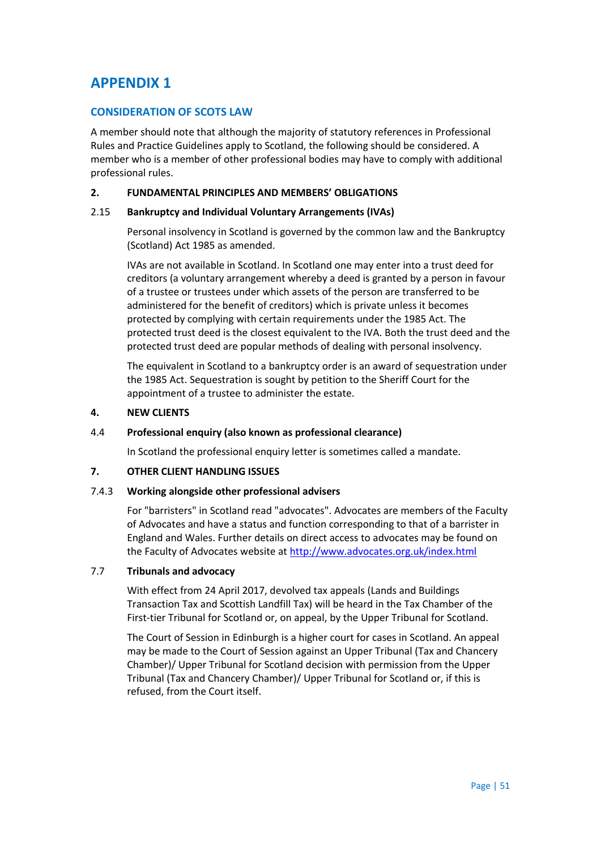# **APPENDIX 1**

# **CONSIDERATION OF SCOTS LAW**

A member should note that although the majority of statutory references in Professional Rules and Practice Guidelines apply to Scotland, the following should be considered. A member who is a member of other professional bodies may have to comply with additional professional rules.

# **2. FUNDAMENTAL PRINCIPLES AND MEMBERS' OBLIGATIONS**

#### 2.15 **Bankruptcy and Individual Voluntary Arrangements (IVAs)**

Personal insolvency in Scotland is governed by the common law and the Bankruptcy (Scotland) Act 1985 as amended.

IVAs are not available in Scotland. In Scotland one may enter into a trust deed for creditors (a voluntary arrangement whereby a deed is granted by a person in favour of a trustee or trustees under which assets of the person are transferred to be administered for the benefit of creditors) which is private unless it becomes protected by complying with certain requirements under the 1985 Act. The protected trust deed is the closest equivalent to the IVA. Both the trust deed and the protected trust deed are popular methods of dealing with personal insolvency.

The equivalent in Scotland to a bankruptcy order is an award of sequestration under the 1985 Act. Sequestration is sought by petition to the Sheriff Court for the appointment of a trustee to administer the estate.

# **4. NEW CLIENTS**

#### 4.4 **Professional enquiry (also known as professional clearance)**

In Scotland the professional enquiry letter is sometimes called a mandate.

#### **7. OTHER CLIENT HANDLING ISSUES**

#### 7.4.3 **Working alongside other professional advisers**

For "barristers" in Scotland read "advocates". Advocates are members of the Faculty of Advocates and have a status and function corresponding to that of a barrister in England and Wales. Further details on direct access to advocates may be found on the Faculty of Advocates website at<http://www.advocates.org.uk/index.html>

### 7.7 **Tribunals and advocacy**

With effect from 24 April 2017, devolved tax appeals (Lands and Buildings Transaction Tax and Scottish Landfill Tax) will be heard in the Tax Chamber of the First-tier Tribunal for Scotland or, on appeal, by the Upper Tribunal for Scotland.

The Court of Session in Edinburgh is a higher court for cases in Scotland. An appeal may be made to the Court of Session against an Upper Tribunal (Tax and Chancery Chamber)/ Upper Tribunal for Scotland decision with permission from the Upper Tribunal (Tax and Chancery Chamber)/ Upper Tribunal for Scotland or, if this is refused, from the Court itself.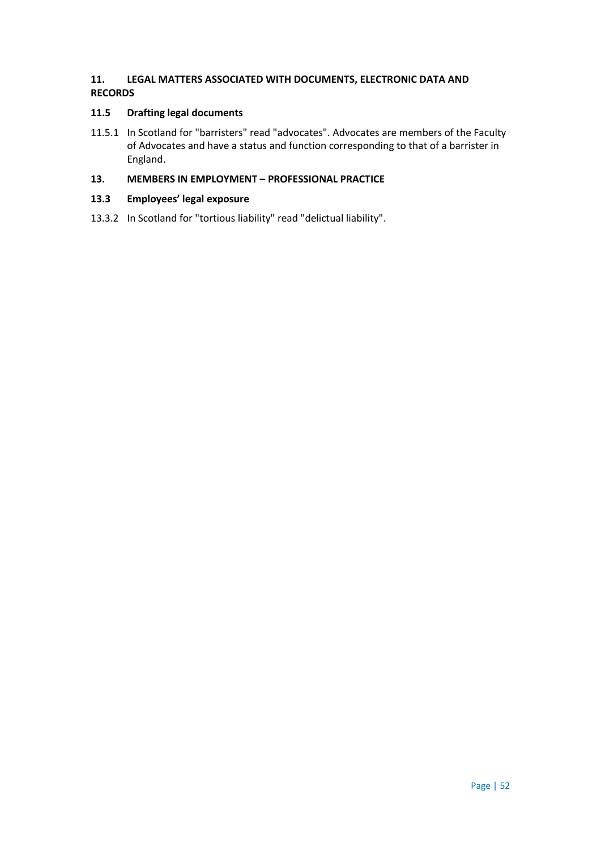# **11. LEGAL MATTERS ASSOCIATED WITH DOCUMENTS, ELECTRONIC DATA AND RECORDS**

# **11.5 Drafting legal documents**

11.5.1 In Scotland for "barristers" read "advocates". Advocates are members of the Faculty of Advocates and have a status and function corresponding to that of a barrister in England.

# **13. MEMBERS IN EMPLOYMENT – PROFESSIONAL PRACTICE**

# **13.3 Employees' legal exposure**

13.3.2 In Scotland for "tortious liability" read "delictual liability".